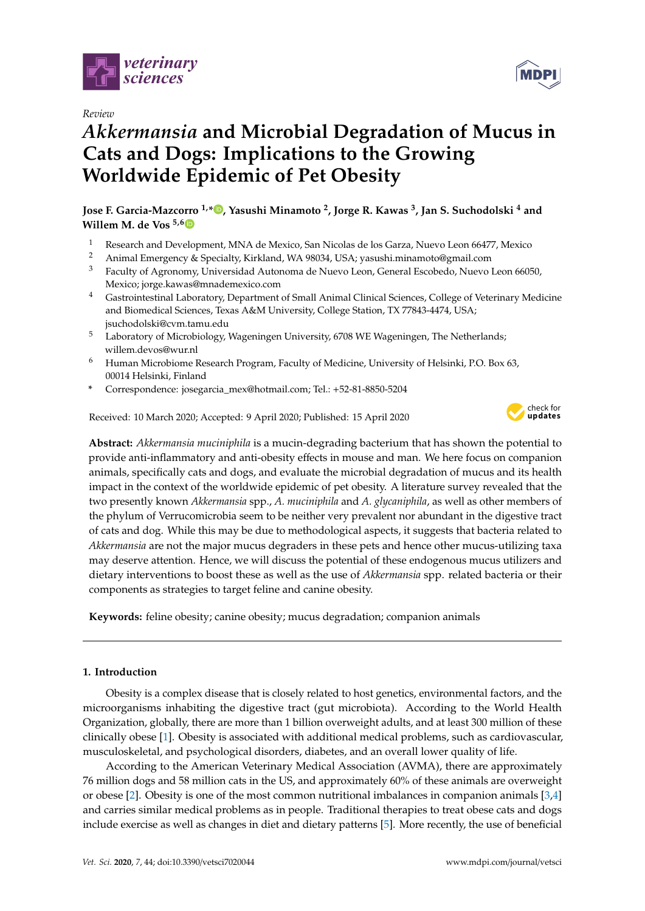

*Review*

# *Akkermansia* **and Microbial Degradation of Mucus in Cats and Dogs: Implications to the Growing Worldwide Epidemic of Pet Obesity**

**Jose F. Garcia-Mazcorro 1,[\\*](https://orcid.org/0000-0001-6047-4361) , Yasushi Minamoto <sup>2</sup> , Jorge R. Kawas <sup>3</sup> , Jan S. Suchodolski <sup>4</sup> and Willem M. de Vos 5,[6](https://orcid.org/0000-0002-0273-3166)**

- <sup>1</sup> Research and Development, MNA de Mexico, San Nicolas de los Garza, Nuevo Leon 66477, Mexico  $\frac{2}{\pi}$  Animal Emergency f. Specialty, Kirkland, MA 98024, USA; vecuely minamete@email.com
- <sup>2</sup> Animal Emergency & Specialty, Kirkland, WA 98034, USA; yasushi.minamoto@gmail.com
- <sup>3</sup> Faculty of Agronomy, Universidad Autonoma de Nuevo Leon, General Escobedo, Nuevo Leon 66050, Mexico; jorge.kawas@mnademexico.com
- <sup>4</sup> Gastrointestinal Laboratory, Department of Small Animal Clinical Sciences, College of Veterinary Medicine and Biomedical Sciences, Texas A&M University, College Station, TX 77843-4474, USA; jsuchodolski@cvm.tamu.edu
- <sup>5</sup> Laboratory of Microbiology, Wageningen University, 6708 WE Wageningen, The Netherlands; willem.devos@wur.nl
- <sup>6</sup> Human Microbiome Research Program, Faculty of Medicine, University of Helsinki, P.O. Box 63, 00014 Helsinki, Finland
- **\*** Correspondence: josegarcia\_mex@hotmail.com; Tel.: +52-81-8850-5204

Received: 10 March 2020; Accepted: 9 April 2020; Published: 15 April 2020



**MDP** 

**Abstract:** *Akkermansia muciniphila* is a mucin-degrading bacterium that has shown the potential to provide anti-inflammatory and anti-obesity effects in mouse and man. We here focus on companion animals, specifically cats and dogs, and evaluate the microbial degradation of mucus and its health impact in the context of the worldwide epidemic of pet obesity. A literature survey revealed that the two presently known *Akkermansia* spp., *A. muciniphila* and *A. glycaniphila*, as well as other members of the phylum of Verrucomicrobia seem to be neither very prevalent nor abundant in the digestive tract of cats and dog. While this may be due to methodological aspects, it suggests that bacteria related to *Akkermansia* are not the major mucus degraders in these pets and hence other mucus-utilizing taxa may deserve attention. Hence, we will discuss the potential of these endogenous mucus utilizers and dietary interventions to boost these as well as the use of *Akkermansia* spp. related bacteria or their components as strategies to target feline and canine obesity.

**Keywords:** feline obesity; canine obesity; mucus degradation; companion animals

# **1. Introduction**

Obesity is a complex disease that is closely related to host genetics, environmental factors, and the microorganisms inhabiting the digestive tract (gut microbiota). According to the World Health Organization, globally, there are more than 1 billion overweight adults, and at least 300 million of these clinically obese [\[1\]](#page-13-0). Obesity is associated with additional medical problems, such as cardiovascular, musculoskeletal, and psychological disorders, diabetes, and an overall lower quality of life.

According to the American Veterinary Medical Association (AVMA), there are approximately 76 million dogs and 58 million cats in the US, and approximately 60% of these animals are overweight or obese [\[2\]](#page-13-1). Obesity is one of the most common nutritional imbalances in companion animals [\[3](#page-13-2)[,4\]](#page-13-3) and carries similar medical problems as in people. Traditional therapies to treat obese cats and dogs include exercise as well as changes in diet and dietary patterns [\[5\]](#page-13-4). More recently, the use of beneficial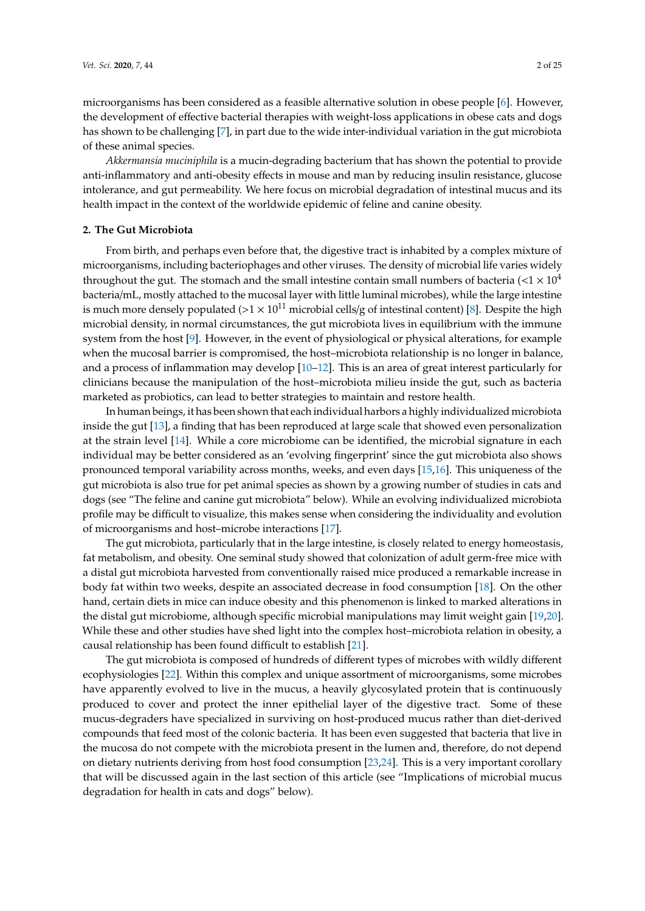microorganisms has been considered as a feasible alternative solution in obese people [\[6\]](#page-13-5). However, the development of effective bacterial therapies with weight-loss applications in obese cats and dogs has shown to be challenging [\[7\]](#page-13-6), in part due to the wide inter-individual variation in the gut microbiota of these animal species.

*Akkermansia muciniphila* is a mucin-degrading bacterium that has shown the potential to provide anti-inflammatory and anti-obesity effects in mouse and man by reducing insulin resistance, glucose intolerance, and gut permeability. We here focus on microbial degradation of intestinal mucus and its health impact in the context of the worldwide epidemic of feline and canine obesity.

# **2. The Gut Microbiota**

From birth, and perhaps even before that, the digestive tract is inhabited by a complex mixture of microorganisms, including bacteriophages and other viruses. The density of microbial life varies widely throughout the gut. The stomach and the small intestine contain small numbers of bacteria  $\langle \langle 1 \times 10^{4} \rangle$ bacteria/mL, mostly attached to the mucosal layer with little luminal microbes), while the large intestine is much more densely populated ( $>1 \times 10^{11}$  microbial cells/g of intestinal content) [\[8\]](#page-13-7). Despite the high microbial density, in normal circumstances, the gut microbiota lives in equilibrium with the immune system from the host [\[9\]](#page-14-0). However, in the event of physiological or physical alterations, for example when the mucosal barrier is compromised, the host–microbiota relationship is no longer in balance, and a process of inflammation may develop [\[10](#page-14-1)[–12\]](#page-14-2). This is an area of great interest particularly for clinicians because the manipulation of the host–microbiota milieu inside the gut, such as bacteria marketed as probiotics, can lead to better strategies to maintain and restore health.

In human beings, it has been shown that each individual harbors a highly individualized microbiota inside the gut [\[13\]](#page-14-3), a finding that has been reproduced at large scale that showed even personalization at the strain level [\[14\]](#page-14-4). While a core microbiome can be identified, the microbial signature in each individual may be better considered as an 'evolving fingerprint' since the gut microbiota also shows pronounced temporal variability across months, weeks, and even days [\[15](#page-14-5)[,16\]](#page-14-6). This uniqueness of the gut microbiota is also true for pet animal species as shown by a growing number of studies in cats and dogs (see "The feline and canine gut microbiota" below). While an evolving individualized microbiota profile may be difficult to visualize, this makes sense when considering the individuality and evolution of microorganisms and host–microbe interactions [\[17\]](#page-14-7).

The gut microbiota, particularly that in the large intestine, is closely related to energy homeostasis, fat metabolism, and obesity. One seminal study showed that colonization of adult germ-free mice with a distal gut microbiota harvested from conventionally raised mice produced a remarkable increase in body fat within two weeks, despite an associated decrease in food consumption [\[18\]](#page-14-8). On the other hand, certain diets in mice can induce obesity and this phenomenon is linked to marked alterations in the distal gut microbiome, although specific microbial manipulations may limit weight gain [\[19,](#page-14-9)[20\]](#page-14-10). While these and other studies have shed light into the complex host–microbiota relation in obesity, a causal relationship has been found difficult to establish [\[21\]](#page-14-11).

The gut microbiota is composed of hundreds of different types of microbes with wildly different ecophysiologies [\[22\]](#page-14-12). Within this complex and unique assortment of microorganisms, some microbes have apparently evolved to live in the mucus, a heavily glycosylated protein that is continuously produced to cover and protect the inner epithelial layer of the digestive tract. Some of these mucus-degraders have specialized in surviving on host-produced mucus rather than diet-derived compounds that feed most of the colonic bacteria. It has been even suggested that bacteria that live in the mucosa do not compete with the microbiota present in the lumen and, therefore, do not depend on dietary nutrients deriving from host food consumption [\[23,](#page-14-13)[24\]](#page-14-14). This is a very important corollary that will be discussed again in the last section of this article (see "Implications of microbial mucus degradation for health in cats and dogs" below).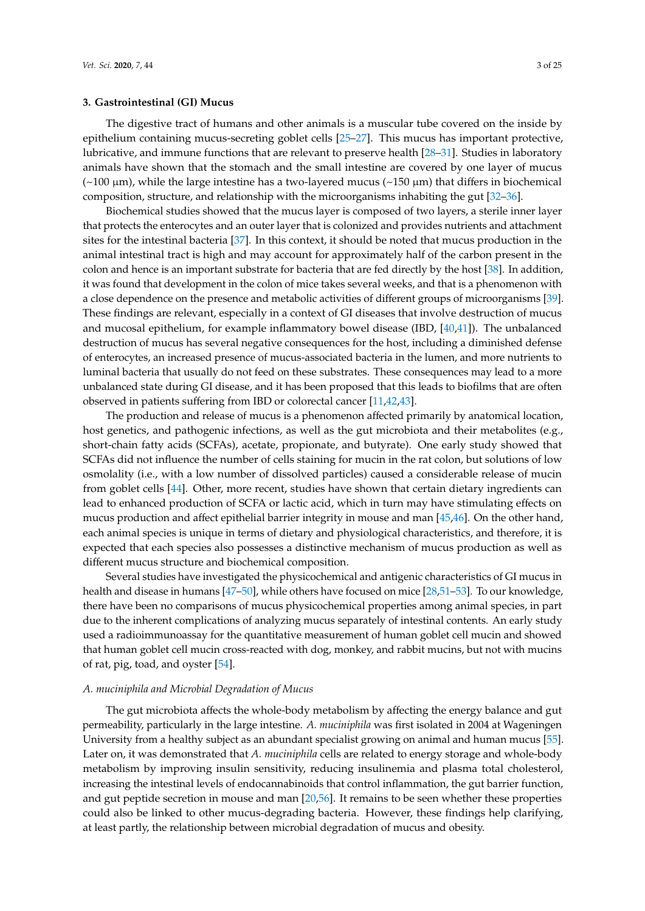## **3. Gastrointestinal (GI) Mucus**

The digestive tract of humans and other animals is a muscular tube covered on the inside by epithelium containing mucus-secreting goblet cells [\[25–](#page-14-15)[27\]](#page-14-16). This mucus has important protective, lubricative, and immune functions that are relevant to preserve health [\[28](#page-14-17)[–31\]](#page-15-0). Studies in laboratory animals have shown that the stomach and the small intestine are covered by one layer of mucus  $(\sim 100 \mu m)$ , while the large intestine has a two-layered mucus  $(\sim 150 \mu m)$  that differs in biochemical composition, structure, and relationship with the microorganisms inhabiting the gut [\[32](#page-15-1)[–36\]](#page-15-2).

Biochemical studies showed that the mucus layer is composed of two layers, a sterile inner layer that protects the enterocytes and an outer layer that is colonized and provides nutrients and attachment sites for the intestinal bacteria [\[37\]](#page-15-3). In this context, it should be noted that mucus production in the animal intestinal tract is high and may account for approximately half of the carbon present in the colon and hence is an important substrate for bacteria that are fed directly by the host [\[38\]](#page-15-4). In addition, it was found that development in the colon of mice takes several weeks, and that is a phenomenon with a close dependence on the presence and metabolic activities of different groups of microorganisms [\[39\]](#page-15-5). These findings are relevant, especially in a context of GI diseases that involve destruction of mucus and mucosal epithelium, for example inflammatory bowel disease (IBD, [\[40,](#page-15-6)[41\]](#page-15-7)). The unbalanced destruction of mucus has several negative consequences for the host, including a diminished defense of enterocytes, an increased presence of mucus-associated bacteria in the lumen, and more nutrients to luminal bacteria that usually do not feed on these substrates. These consequences may lead to a more unbalanced state during GI disease, and it has been proposed that this leads to biofilms that are often observed in patients suffering from IBD or colorectal cancer [\[11,](#page-14-18)[42,](#page-15-8)[43\]](#page-15-9).

The production and release of mucus is a phenomenon affected primarily by anatomical location, host genetics, and pathogenic infections, as well as the gut microbiota and their metabolites (e.g., short-chain fatty acids (SCFAs), acetate, propionate, and butyrate). One early study showed that SCFAs did not influence the number of cells staining for mucin in the rat colon, but solutions of low osmolality (i.e., with a low number of dissolved particles) caused a considerable release of mucin from goblet cells [\[44\]](#page-15-10). Other, more recent, studies have shown that certain dietary ingredients can lead to enhanced production of SCFA or lactic acid, which in turn may have stimulating effects on mucus production and affect epithelial barrier integrity in mouse and man [\[45](#page-15-11)[,46\]](#page-15-12). On the other hand, each animal species is unique in terms of dietary and physiological characteristics, and therefore, it is expected that each species also possesses a distinctive mechanism of mucus production as well as different mucus structure and biochemical composition.

Several studies have investigated the physicochemical and antigenic characteristics of GI mucus in health and disease in humans [\[47](#page-15-13)[–50\]](#page-15-14), while others have focused on mice [\[28](#page-14-17)[,51–](#page-16-0)[53\]](#page-16-1). To our knowledge, there have been no comparisons of mucus physicochemical properties among animal species, in part due to the inherent complications of analyzing mucus separately of intestinal contents. An early study used a radioimmunoassay for the quantitative measurement of human goblet cell mucin and showed that human goblet cell mucin cross-reacted with dog, monkey, and rabbit mucins, but not with mucins of rat, pig, toad, and oyster [\[54\]](#page-16-2).

#### *A. muciniphila and Microbial Degradation of Mucus*

The gut microbiota affects the whole-body metabolism by affecting the energy balance and gut permeability, particularly in the large intestine. *A. muciniphila* was first isolated in 2004 at Wageningen University from a healthy subject as an abundant specialist growing on animal and human mucus [\[55\]](#page-16-3). Later on, it was demonstrated that *A. muciniphila* cells are related to energy storage and whole-body metabolism by improving insulin sensitivity, reducing insulinemia and plasma total cholesterol, increasing the intestinal levels of endocannabinoids that control inflammation, the gut barrier function, and gut peptide secretion in mouse and man [\[20,](#page-14-10)[56\]](#page-16-4). It remains to be seen whether these properties could also be linked to other mucus-degrading bacteria. However, these findings help clarifying, at least partly, the relationship between microbial degradation of mucus and obesity.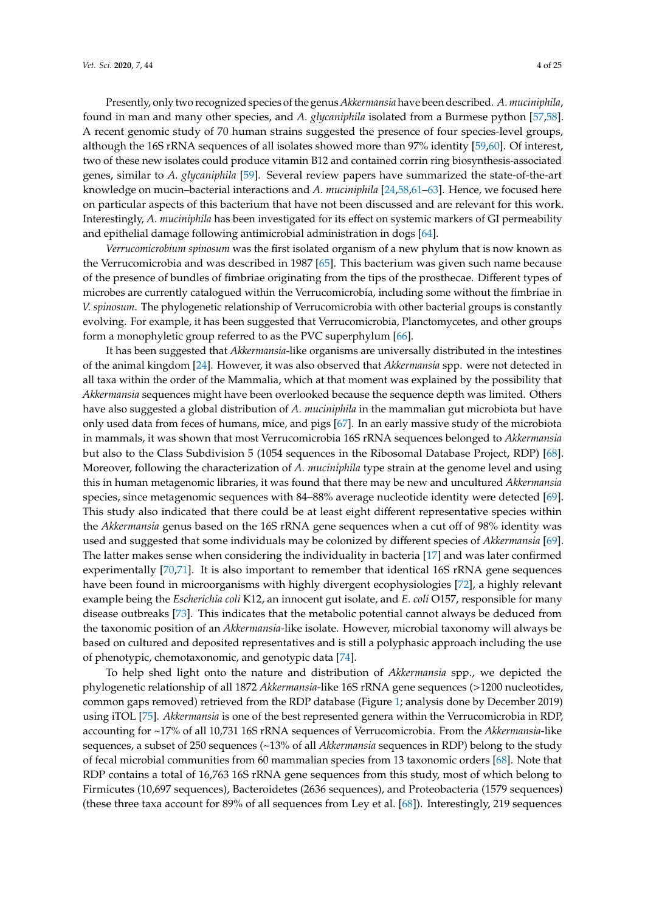Presently, only two recognized species of the genus *Akkermansia* have been described. *A. muciniphila*, found in man and many other species, and *A. glycaniphila* isolated from a Burmese python [\[57,](#page-16-5)[58\]](#page-16-6). A recent genomic study of 70 human strains suggested the presence of four species-level groups, although the 16S rRNA sequences of all isolates showed more than 97% identity [\[59,](#page-16-7)[60\]](#page-16-8). Of interest, two of these new isolates could produce vitamin B12 and contained corrin ring biosynthesis-associated genes, similar to *A. glycaniphila* [\[59\]](#page-16-7). Several review papers have summarized the state-of-the-art knowledge on mucin–bacterial interactions and *A. muciniphila* [\[24,](#page-14-14)[58](#page-16-6)[,61–](#page-16-9)[63\]](#page-16-10). Hence, we focused here on particular aspects of this bacterium that have not been discussed and are relevant for this work. Interestingly, *A. muciniphila* has been investigated for its effect on systemic markers of GI permeability and epithelial damage following antimicrobial administration in dogs [\[64\]](#page-16-11).

*Verrucomicrobium spinosum* was the first isolated organism of a new phylum that is now known as the Verrucomicrobia and was described in 1987 [\[65\]](#page-16-12). This bacterium was given such name because of the presence of bundles of fimbriae originating from the tips of the prosthecae. Different types of microbes are currently catalogued within the Verrucomicrobia, including some without the fimbriae in *V. spinosum*. The phylogenetic relationship of Verrucomicrobia with other bacterial groups is constantly evolving. For example, it has been suggested that Verrucomicrobia, Planctomycetes, and other groups form a monophyletic group referred to as the PVC superphylum [\[66\]](#page-16-13).

It has been suggested that *Akkermansia*-like organisms are universally distributed in the intestines of the animal kingdom [\[24\]](#page-14-14). However, it was also observed that *Akkermansia* spp. were not detected in all taxa within the order of the Mammalia, which at that moment was explained by the possibility that *Akkermansia* sequences might have been overlooked because the sequence depth was limited. Others have also suggested a global distribution of *A. muciniphila* in the mammalian gut microbiota but have only used data from feces of humans, mice, and pigs [\[67\]](#page-16-14). In an early massive study of the microbiota in mammals, it was shown that most Verrucomicrobia 16S rRNA sequences belonged to *Akkermansia* but also to the Class Subdivision 5 (1054 sequences in the Ribosomal Database Project, RDP) [\[68\]](#page-16-15). Moreover, following the characterization of *A. muciniphila* type strain at the genome level and using this in human metagenomic libraries, it was found that there may be new and uncultured *Akkermansia* species, since metagenomic sequences with 84–88% average nucleotide identity were detected [\[69\]](#page-16-16). This study also indicated that there could be at least eight different representative species within the *Akkermansia* genus based on the 16S rRNA gene sequences when a cut off of 98% identity was used and suggested that some individuals may be colonized by different species of *Akkermansia* [\[69\]](#page-16-16). The latter makes sense when considering the individuality in bacteria [\[17\]](#page-14-7) and was later confirmed experimentally [\[70](#page-16-17)[,71\]](#page-17-0). It is also important to remember that identical 16S rRNA gene sequences have been found in microorganisms with highly divergent ecophysiologies [\[72\]](#page-17-1), a highly relevant example being the *Escherichia coli* K12, an innocent gut isolate, and *E. coli* O157, responsible for many disease outbreaks [\[73\]](#page-17-2). This indicates that the metabolic potential cannot always be deduced from the taxonomic position of an *Akkermansia*-like isolate. However, microbial taxonomy will always be based on cultured and deposited representatives and is still a polyphasic approach including the use of phenotypic, chemotaxonomic, and genotypic data [\[74\]](#page-17-3).

To help shed light onto the nature and distribution of *Akkermansia* spp., we depicted the phylogenetic relationship of all 1872 *Akkermansia*-like 16S rRNA gene sequences (>1200 nucleotides, common gaps removed) retrieved from the RDP database (Figure [1;](#page-4-0) analysis done by December 2019) using iTOL [\[75\]](#page-17-4). *Akkermansia* is one of the best represented genera within the Verrucomicrobia in RDP, accounting for ~17% of all 10,731 16S rRNA sequences of Verrucomicrobia. From the *Akkermansia*-like sequences, a subset of 250 sequences (~13% of all *Akkermansia* sequences in RDP) belong to the study of fecal microbial communities from 60 mammalian species from 13 taxonomic orders [\[68\]](#page-16-15). Note that RDP contains a total of 16,763 16S rRNA gene sequences from this study, most of which belong to Firmicutes (10,697 sequences), Bacteroidetes (2636 sequences), and Proteobacteria (1579 sequences) (these three taxa account for 89% of all sequences from Ley et al. [\[68\]](#page-16-15)). Interestingly, 219 sequences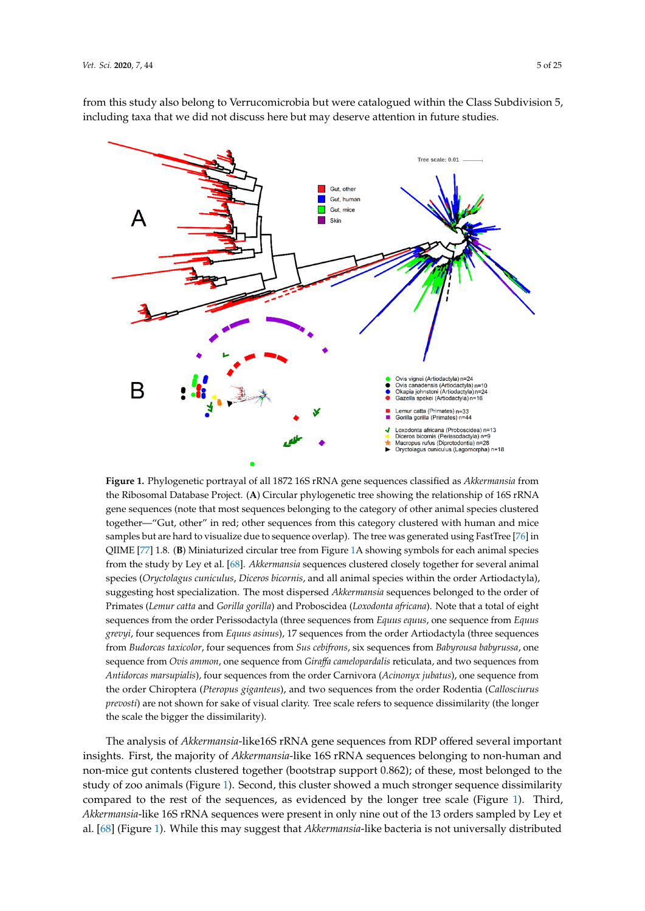<span id="page-4-0"></span>

Figure 1. Phylogenetic portrayal of all 1872 16S rRNA gene sequences classified as Akkermansia from the Ribosomal Database Project. (**A**) Circular phylogenetic tree showing the relationship of 16S rRNA the Ribosomal Database Project. (**A**) Circular phylogenetic tree showing the relationship of 16S rRNA gene sequences (note that most sequences belonging to the category of other animal species clustered gene sequences (note that most sequences belonging to the category of other animal species clustered together—"Gut, other" in red; other sequences from this category clustered with human and mice together—"Gut, other" in red; other sequences from this category clustered with human and mice samples but are hard to visualize due to sequence overlap). The tree was generated using FastTree [\[76\]](#page-17-5) in [76] in [QII](#page-17-6)ME [77] 1.8. (**B**) Miniaturized circular tree fro[m F](#page-4-0)igure 1A showing symbols for each animal QIIME [77] 1.8. (**B**) Miniaturized circular tree from Figure 1A showing symbols for each animal species from the study by L[ey e](#page-16-15)t al. [68]. *Akkermansia* sequences clustered closely together for several animal species (Oryctolagus cuniculus, Diceros bicornis, and all animal species within the order Artiodactyla), suggesting host specialization. The most dispersed *Akkermansia* sequences belonged to the order of Primates (Lemur catta and Gorilla gorilla) and Proboscidea (Loxodonta africana). Note that a total of eight sequences from the order Perissodactyla (three sequences from *Equus equus*, one sequence from *Equus* sequence from *Equus grevyi*, four sequences from *Equus asinus*), 17 sequences from the order *grevyi*, four sequences from *Equus asinus*), 17 sequences from the order Artiodactyla (three sequences from Budorcas taxicolor, four sequences from Sus cebifrons, six sequences from Babyrousa babyrussa, one sequence from Ovis ammon, one sequence from Giraffa camelopardalis reticulata, and two sequences from Antidorcas marsupialis), four sequences from the order Carnivora (*Acinonyx jubatus*), one sequence from the order Chiroptera (Pteropus giganteus), and two sequences from the order Rodentia (Callosciurus prevosti) are not shown for sake of visual clarity. Tree scale refers to sequence dissimilarity (the longer the scale the bigger the dissimilarity).

The analysis of *Akkermansia*-like16S rRNA gene sequences from RDP offered several important The analysis of *Akkermansia*-like16S rRNA gene sequences from RDP offered several important insights. First, the majority of *Akkermansia*-like 16S rRNA sequences belonging to non-human and insights. First, the majority of *Akkermansia*-like 16S rRNA sequences belonging to non-human and non-mice gut contents clustered together (bootstrap support 0.862); of these, most belonged to the non-mice gut contents clustered together (bootstrap support 0.862); of these, most belonged to the study of zoo animals (Figur[e 1](#page-4-0)). Second, this cluster showed a much stronger sequence dissimilarity study of zoo animals (Figure 1). Second, this cluster showed a much stronger sequence dissimilarity compared to the rest of the sequences, as evidenced by the longer tree scale (Figur[e 1](#page-4-0)). Third, compared to the rest of the sequences, as evidenced by the longer tree scale (Figure 1). Third, *Akkermansia*-like 16S rRNA sequences were present in only nine out of the 13 orders sampled by Ley *Akkermansia*-like 16S rRNA sequences were present in only nine out of the 13 orders sampled by Ley et al. [68] (Fi[gu](#page-4-0)re 1). While this may suggest that *Akkermansia*-like bacteria is not universally distributed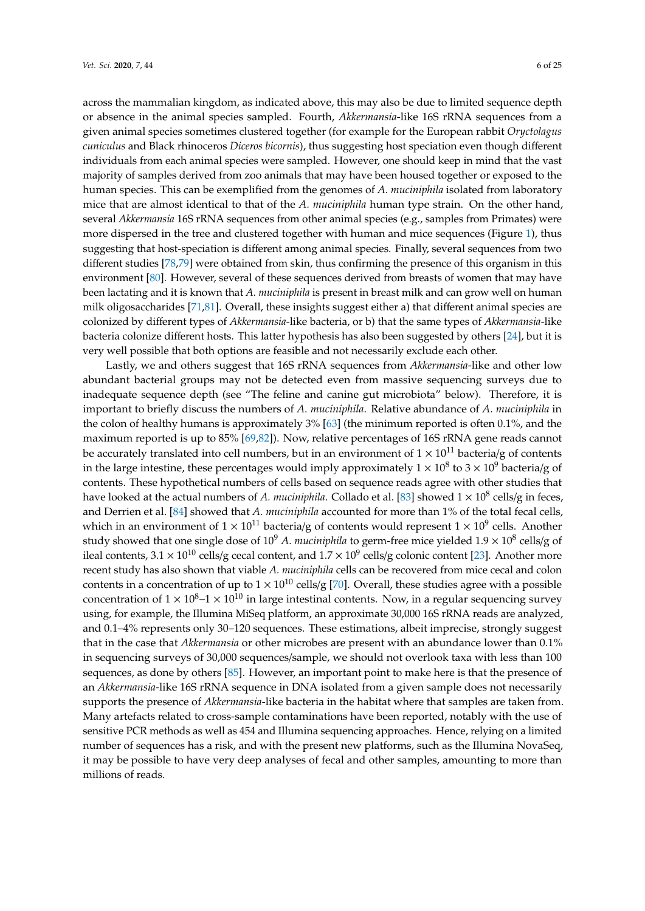across the mammalian kingdom, as indicated above, this may also be due to limited sequence depth or absence in the animal species sampled. Fourth, *Akkermansia*-like 16S rRNA sequences from a given animal species sometimes clustered together (for example for the European rabbit *Oryctolagus cuniculus* and Black rhinoceros *Diceros bicornis*), thus suggesting host speciation even though different individuals from each animal species were sampled. However, one should keep in mind that the vast majority of samples derived from zoo animals that may have been housed together or exposed to the human species. This can be exemplified from the genomes of *A. muciniphila* isolated from laboratory mice that are almost identical to that of the *A. muciniphila* human type strain. On the other hand, several *Akkermansia* 16S rRNA sequences from other animal species (e.g., samples from Primates) were more dispersed in the tree and clustered together with human and mice sequences (Figure [1\)](#page-4-0), thus suggesting that host-speciation is different among animal species. Finally, several sequences from two different studies [\[78](#page-17-7)[,79\]](#page-17-8) were obtained from skin, thus confirming the presence of this organism in this environment [\[80\]](#page-17-9). However, several of these sequences derived from breasts of women that may have been lactating and it is known that *A. muciniphila* is present in breast milk and can grow well on human milk oligosaccharides [\[71](#page-17-0)[,81\]](#page-17-10). Overall, these insights suggest either a) that different animal species are colonized by different types of *Akkermansia*-like bacteria, or b) that the same types of *Akkermansia*-like bacteria colonize different hosts. This latter hypothesis has also been suggested by others [\[24\]](#page-14-14), but it is very well possible that both options are feasible and not necessarily exclude each other.

Lastly, we and others suggest that 16S rRNA sequences from *Akkermansia*-like and other low abundant bacterial groups may not be detected even from massive sequencing surveys due to inadequate sequence depth (see "The feline and canine gut microbiota" below). Therefore, it is important to briefly discuss the numbers of *A. muciniphila*. Relative abundance of *A. muciniphila* in the colon of healthy humans is approximately 3% [\[63\]](#page-16-10) (the minimum reported is often 0.1%, and the maximum reported is up to 85% [\[69](#page-16-16)[,82\]](#page-17-11)). Now, relative percentages of 16S rRNA gene reads cannot be accurately translated into cell numbers, but in an environment of  $1 \times 10^{11}$  bacteria/g of contents in the large intestine, these percentages would imply approximately  $1 \times 10^8$  to  $3 \times 10^9$  bacteria/g of contents. These hypothetical numbers of cells based on sequence reads agree with other studies that have looked at the actual numbers of *A. muciniphila*. Collado et al. [\[83\]](#page-17-12) showed  $1 \times 10^8$  cells/g in feces, and Derrien et al. [\[84\]](#page-17-13) showed that *A. muciniphila* accounted for more than 1% of the total fecal cells, which in an environment of  $1 \times 10^{11}$  bacteria/g of contents would represent  $1 \times 10^9$  cells. Another study showed that one single dose of 10<sup>9</sup> A. *muciniphila* to germ-free mice yielded 1.9 × 10<sup>8</sup> cells/g of ileal contents,  $3.1 \times 10^{10}$  cells/g cecal content, and  $1.7 \times 10^9$  cells/g colonic content [\[23\]](#page-14-13). Another more recent study has also shown that viable *A. muciniphila* cells can be recovered from mice cecal and colon contents in a concentration of up to  $1 \times 10^{10}$  cells/g [\[70\]](#page-16-17). Overall, these studies agree with a possible concentration of  $1 \times 10^8$ – $1 \times 10^{10}$  in large intestinal contents. Now, in a regular sequencing survey using, for example, the Illumina MiSeq platform, an approximate 30,000 16S rRNA reads are analyzed, and 0.1–4% represents only 30–120 sequences. These estimations, albeit imprecise, strongly suggest that in the case that *Akkermansia* or other microbes are present with an abundance lower than 0.1% in sequencing surveys of 30,000 sequences/sample, we should not overlook taxa with less than 100 sequences, as done by others [\[85\]](#page-17-14). However, an important point to make here is that the presence of an *Akkermansia*-like 16S rRNA sequence in DNA isolated from a given sample does not necessarily supports the presence of *Akkermansia*-like bacteria in the habitat where that samples are taken from. Many artefacts related to cross-sample contaminations have been reported, notably with the use of sensitive PCR methods as well as 454 and Illumina sequencing approaches. Hence, relying on a limited number of sequences has a risk, and with the present new platforms, such as the Illumina NovaSeq, it may be possible to have very deep analyses of fecal and other samples, amounting to more than millions of reads.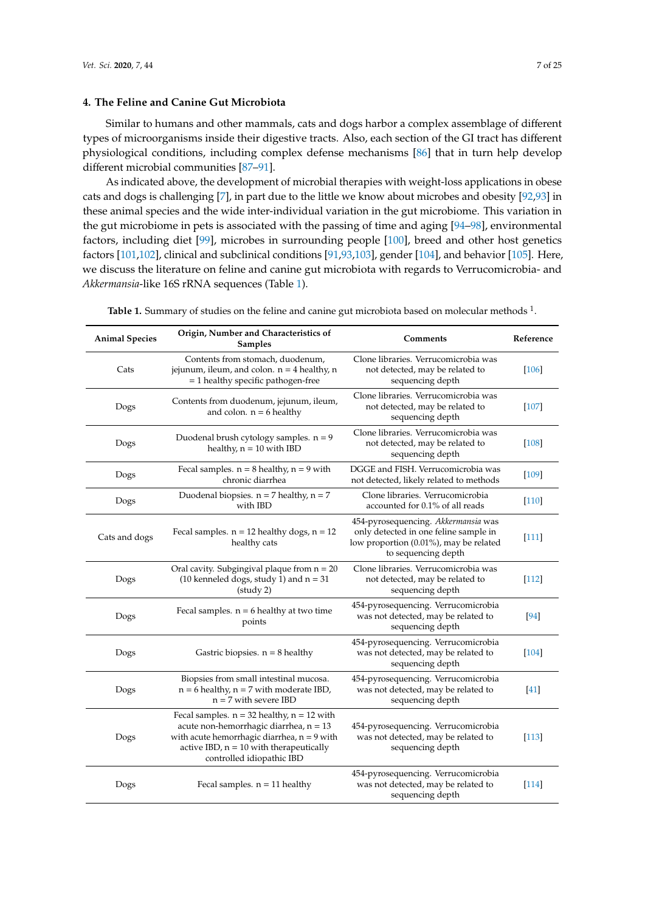## **4. The Feline and Canine Gut Microbiota**

Similar to humans and other mammals, cats and dogs harbor a complex assemblage of different types of microorganisms inside their digestive tracts. Also, each section of the GI tract has different physiological conditions, including complex defense mechanisms [\[86\]](#page-17-15) that in turn help develop different microbial communities [\[87–](#page-17-16)[91\]](#page-17-17).

As indicated above, the development of microbial therapies with weight-loss applications in obese cats and dogs is challenging [\[7\]](#page-13-6), in part due to the little we know about microbes and obesity [\[92,](#page-18-0)[93\]](#page-18-1) in these animal species and the wide inter-individual variation in the gut microbiome. This variation in the gut microbiome in pets is associated with the passing of time and aging [\[94](#page-18-2)[–98\]](#page-18-3), environmental factors, including diet [\[99\]](#page-18-4), microbes in surrounding people [\[100\]](#page-18-5), breed and other host genetics factors [\[101,](#page-18-6)[102\]](#page-18-7), clinical and subclinical conditions [\[91,](#page-17-17)[93,](#page-18-1)[103\]](#page-18-8), gender [\[104\]](#page-18-9), and behavior [\[105\]](#page-18-10). Here, we discuss the literature on feline and canine gut microbiota with regards to Verrucomicrobia- and *Akkermansia*-like 16S rRNA sequences (Table [1\)](#page-9-0).

| <b>Animal Species</b> | Origin, Number and Characteristics of<br>Samples                                                                                                                                                                      | <b>Comments</b>                                                                                                                               | Reference |
|-----------------------|-----------------------------------------------------------------------------------------------------------------------------------------------------------------------------------------------------------------------|-----------------------------------------------------------------------------------------------------------------------------------------------|-----------|
| Cats                  | Contents from stomach, duodenum,<br>jejunum, ileum, and colon. $n = 4$ healthy, n<br>$=$ 1 healthy specific pathogen-free                                                                                             | Clone libraries. Verrucomicrobia was<br>not detected, may be related to<br>sequencing depth                                                   | $[106]$   |
| Dogs                  | Contents from duodenum, jejunum, ileum,<br>and colon. $n = 6$ healthy                                                                                                                                                 | Clone libraries. Verrucomicrobia was<br>not detected, may be related to<br>sequencing depth                                                   | [107]     |
| Dogs                  | Duodenal brush cytology samples. $n = 9$<br>healthy, $n = 10$ with IBD                                                                                                                                                | Clone libraries. Verrucomicrobia was<br>not detected, may be related to<br>sequencing depth                                                   | $[108]$   |
| Dogs                  | Fecal samples. $n = 8$ healthy, $n = 9$ with<br>chronic diarrhea                                                                                                                                                      | DGGE and FISH. Verrucomicrobia was<br>not detected, likely related to methods                                                                 | $[109]$   |
| Dogs                  | Duodenal biopsies. $n = 7$ healthy, $n = 7$<br>with IBD                                                                                                                                                               | Clone libraries. Verrucomicrobia<br>accounted for 0.1% of all reads                                                                           | $[110]$   |
| Cats and dogs         | Fecal samples. $n = 12$ healthy dogs, $n = 12$<br>healthy cats                                                                                                                                                        | 454-pyrosequencing. Akkermansia was<br>only detected in one feline sample in<br>low proportion (0.01%), may be related<br>to sequencing depth | [111]     |
| Dogs                  | Oral cavity. Subgingival plaque from $n = 20$<br>(10 kenneled dogs, study 1) and $n = 31$<br>(stat 2)                                                                                                                 | Clone libraries. Verrucomicrobia was<br>not detected, may be related to<br>sequencing depth                                                   | $[112]$   |
| Dogs                  | Fecal samples. $n = 6$ healthy at two time<br>points                                                                                                                                                                  | 454-pyrosequencing. Verrucomicrobia<br>was not detected, may be related to<br>sequencing depth                                                | [94]      |
| Dogs                  | Gastric biopsies. $n = 8$ healthy                                                                                                                                                                                     | 454-pyrosequencing. Verrucomicrobia<br>was not detected, may be related to<br>sequencing depth                                                | $[104]$   |
| Dogs                  | Biopsies from small intestinal mucosa.<br>$n = 6$ healthy, $n = 7$ with moderate IBD,<br>$n = 7$ with severe IBD                                                                                                      | 454-pyrosequencing. Verrucomicrobia<br>was not detected, may be related to<br>sequencing depth                                                | $[41]$    |
| Dogs                  | Fecal samples. $n = 32$ healthy, $n = 12$ with<br>acute non-hemorrhagic diarrhea, $n = 13$<br>with acute hemorrhagic diarrhea, $n = 9$ with<br>active IBD, $n = 10$ with therapeutically<br>controlled idiopathic IBD | 454-pyrosequencing. Verrucomicrobia<br>was not detected, may be related to<br>sequencing depth                                                | $[113]$   |
| Dogs                  | Fecal samples. $n = 11$ healthy                                                                                                                                                                                       | 454-pyrosequencing. Verrucomicrobia<br>was not detected, may be related to<br>sequencing depth                                                | [114]     |

Table 1. Summary of studies on the feline and canine gut microbiota based on molecular methods <sup>1</sup>.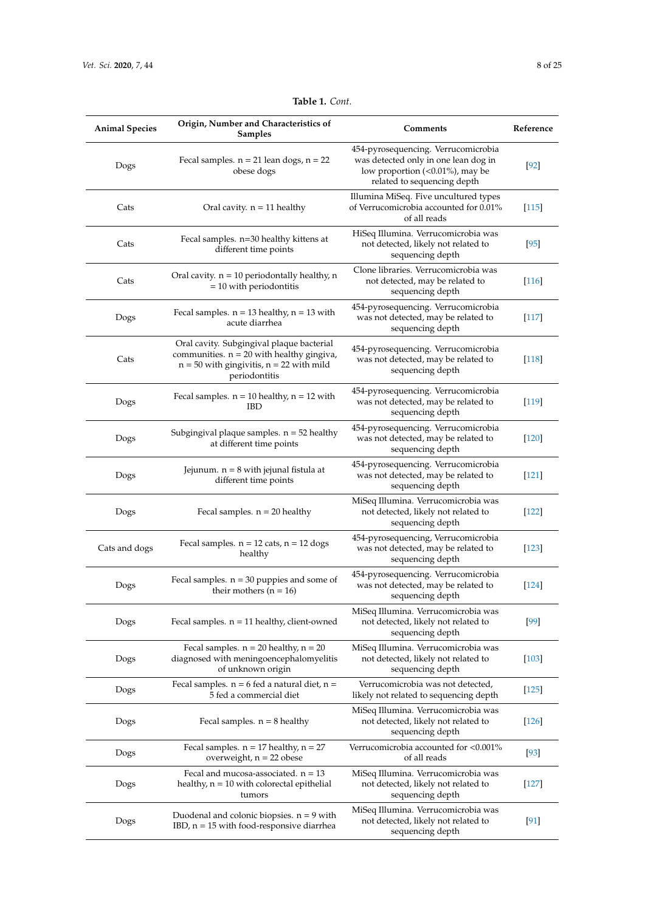| <b>Animal Species</b> | Origin, Number and Characteristics of<br>Samples                                                                                                          | Comments                                                                                                                                      | Reference |
|-----------------------|-----------------------------------------------------------------------------------------------------------------------------------------------------------|-----------------------------------------------------------------------------------------------------------------------------------------------|-----------|
| Dogs                  | Fecal samples. $n = 21$ lean dogs, $n = 22$<br>obese dogs                                                                                                 | 454-pyrosequencing. Verrucomicrobia<br>was detected only in one lean dog in<br>low proportion (<0.01%), may be<br>related to sequencing depth | $[92]$    |
| Cats                  | Oral cavity. $n = 11$ healthy                                                                                                                             | Illumina MiSeq. Five uncultured types<br>of Verrucomicrobia accounted for 0.01%<br>of all reads                                               | [115]     |
| Cats                  | Fecal samples. $n=30$ healthy kittens at<br>different time points                                                                                         | HiSeq Illumina. Verrucomicrobia was<br>not detected, likely not related to<br>sequencing depth                                                | $[95]$    |
| Cats                  | Oral cavity. $n = 10$ periodontally healthy, n<br>$= 10$ with periodontitis                                                                               | Clone libraries. Verrucomicrobia was<br>not detected, may be related to<br>sequencing depth                                                   | $[116]$   |
| Dogs                  | Fecal samples. $n = 13$ healthy, $n = 13$ with<br>acute diarrhea                                                                                          | 454-pyrosequencing. Verrucomicrobia<br>was not detected, may be related to<br>sequencing depth                                                | $[117]$   |
| Cats                  | Oral cavity. Subgingival plaque bacterial<br>communities. $n = 20$ with healthy gingiva,<br>$n = 50$ with gingivitis, $n = 22$ with mild<br>periodontitis | 454-pyrosequencing. Verrucomicrobia<br>was not detected, may be related to<br>sequencing depth                                                | $[118]$   |
| Dogs                  | Fecal samples. $n = 10$ healthy, $n = 12$ with<br><b>IBD</b>                                                                                              | 454-pyrosequencing. Verrucomicrobia<br>was not detected, may be related to<br>sequencing depth                                                | $[119]$   |
| Dogs                  | Subgingival plaque samples. $n = 52$ healthy<br>at different time points                                                                                  | 454-pyrosequencing. Verrucomicrobia<br>was not detected, may be related to<br>sequencing depth                                                | $[120]$   |
| Dogs                  | Jejunum. $n = 8$ with jejunal fistula at<br>different time points                                                                                         | 454-pyrosequencing. Verrucomicrobia<br>was not detected, may be related to<br>sequencing depth                                                | $[121]$   |
| Dogs                  | Fecal samples. $n = 20$ healthy                                                                                                                           | MiSeq Illumina. Verrucomicrobia was<br>not detected, likely not related to<br>sequencing depth                                                | $[122]$   |
| Cats and dogs         | Fecal samples. $n = 12$ cats, $n = 12$ dogs<br>healthy                                                                                                    | 454-pyrosequencing, Verrucomicrobia<br>was not detected, may be related to<br>sequencing depth                                                | $[123]$   |
| Dogs                  | Fecal samples. $n = 30$ puppies and some of<br>their mothers ( $n = 16$ )                                                                                 | 454-pyrosequencing. Verrucomicrobia<br>was not detected, may be related to<br>sequencing depth                                                | $[124]$   |
| Dogs                  | Fecal samples. $n = 11$ healthy, client-owned                                                                                                             | MiSeq Illumina. Verrucomicrobia was<br>not detected, likely not related to<br>sequencing depth                                                | $[99]$    |
| Dogs                  | Fecal samples. $n = 20$ healthy, $n = 20$<br>diagnosed with meningoencephalomyelitis<br>of unknown origin                                                 | MiSeq Illumina. Verrucomicrobia was<br>not detected, likely not related to<br>sequencing depth                                                | $[103]$   |
| Dogs                  | Fecal samples. $n = 6$ fed a natural diet, $n =$<br>5 fed a commercial diet                                                                               | Verrucomicrobia was not detected,<br>likely not related to sequencing depth                                                                   | $[125]$   |
| Dogs                  | Fecal samples. $n = 8$ healthy                                                                                                                            | MiSeq Illumina. Verrucomicrobia was<br>not detected, likely not related to<br>sequencing depth                                                | $[126]$   |
| Dogs                  | Fecal samples. $n = 17$ healthy, $n = 27$<br>overweight, $n = 22$ obese                                                                                   | Verrucomicrobia accounted for <0.001%<br>of all reads                                                                                         | $[93]$    |
| Dogs                  | Fecal and mucosa-associated. $n = 13$<br>healthy, $n = 10$ with colorectal epithelial<br>tumors                                                           | MiSeq Illumina. Verrucomicrobia was<br>not detected, likely not related to<br>sequencing depth                                                | $[127]$   |
| Dogs                  | Duodenal and colonic biopsies. $n = 9$ with<br>$IBD$ , $n = 15$ with food-responsive diarrhea                                                             | MiSeq Illumina. Verrucomicrobia was<br>not detected, likely not related to<br>sequencing depth                                                | $[91]$    |

**Table 1.** *Cont.*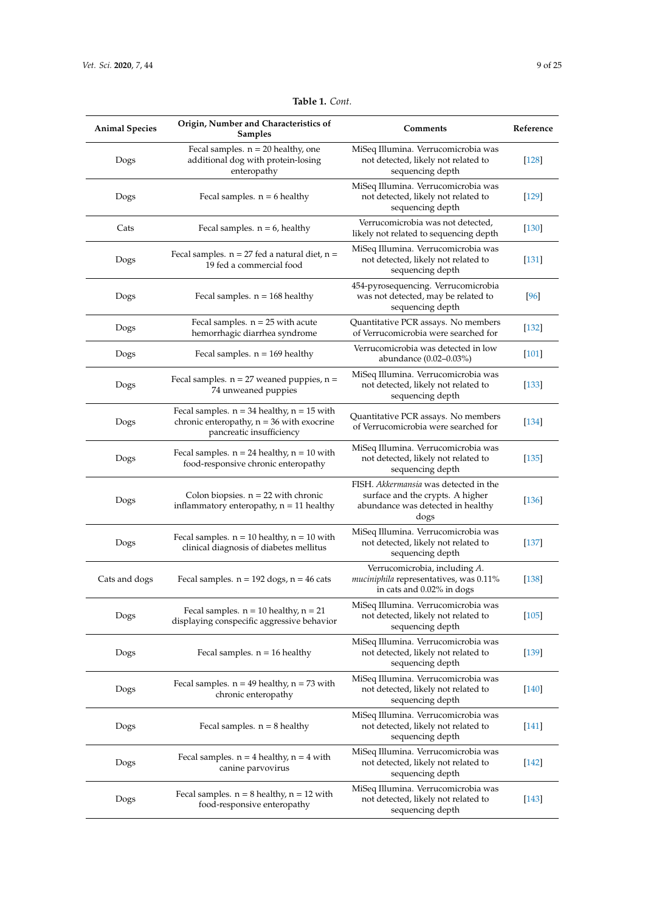| <b>Animal Species</b> | Origin, Number and Characteristics of<br><b>Samples</b>                                                                   | Comments                                                                                                               | Reference |
|-----------------------|---------------------------------------------------------------------------------------------------------------------------|------------------------------------------------------------------------------------------------------------------------|-----------|
| Dogs                  | Fecal samples. $n = 20$ healthy, one<br>additional dog with protein-losing<br>enteropathy                                 | MiSeq Illumina. Verrucomicrobia was<br>not detected, likely not related to<br>sequencing depth                         | $[128]$   |
| Dogs                  | Fecal samples. $n = 6$ healthy                                                                                            | MiSeq Illumina. Verrucomicrobia was<br>not detected, likely not related to<br>sequencing depth                         | $[129]$   |
| Cats                  | Fecal samples. $n = 6$ , healthy                                                                                          | Verrucomicrobia was not detected,<br>likely not related to sequencing depth                                            | $[130]$   |
| Dogs                  | Fecal samples. $n = 27$ fed a natural diet, $n =$<br>19 fed a commercial food                                             | MiSeq Illumina. Verrucomicrobia was<br>not detected, likely not related to<br>sequencing depth                         | $[131]$   |
| Dogs                  | Fecal samples. $n = 168$ healthy                                                                                          | 454-pyrosequencing. Verrucomicrobia<br>was not detected, may be related to<br>sequencing depth                         | [96]      |
| Dogs                  | Fecal samples. $n = 25$ with acute<br>hemorrhagic diarrhea syndrome                                                       | Quantitative PCR assays. No members<br>of Verrucomicrobia were searched for                                            | $[132]$   |
| Dogs                  | Fecal samples. $n = 169$ healthy                                                                                          | Verrucomicrobia was detected in low<br>abundance (0.02-0.03%)                                                          | $[101]$   |
| Dogs                  | Fecal samples. $n = 27$ weaned puppies, $n =$<br>74 unweaned puppies                                                      | MiSeq Illumina. Verrucomicrobia was<br>not detected, likely not related to<br>sequencing depth                         | $[133]$   |
| Dogs                  | Fecal samples. $n = 34$ healthy, $n = 15$ with<br>chronic enteropathy, $n = 36$ with exocrine<br>pancreatic insufficiency | Quantitative PCR assays. No members<br>of Verrucomicrobia were searched for                                            | $[134]$   |
| Dogs                  | Fecal samples. $n = 24$ healthy, $n = 10$ with<br>food-responsive chronic enteropathy                                     | MiSeq Illumina. Verrucomicrobia was<br>not detected, likely not related to<br>sequencing depth                         | $[135]$   |
| Dogs                  | Colon biopsies. $n = 22$ with chronic<br>inflammatory enteropathy, $n = 11$ healthy                                       | FISH. Akkermansia was detected in the<br>surface and the crypts. A higher<br>abundance was detected in healthy<br>dogs | $[136]$   |
| Dogs                  | Fecal samples. $n = 10$ healthy, $n = 10$ with<br>clinical diagnosis of diabetes mellitus                                 | MiSeq Illumina. Verrucomicrobia was<br>not detected, likely not related to<br>sequencing depth                         | $[137]$   |
| Cats and dogs         | Fecal samples. $n = 192$ dogs, $n = 46$ cats                                                                              | Verrucomicrobia, including A.<br>muciniphila representatives, was 0.11%<br>in cats and 0.02% in dogs                   | $[138]$   |
| Dogs                  | Fecal samples. $n = 10$ healthy, $n = 21$<br>displaying conspecific aggressive behavior                                   | MiSeq Illumina. Verrucomicrobia was<br>not detected, likely not related to<br>sequencing depth                         | $[105]$   |
| Dogs                  | Fecal samples. $n = 16$ healthy                                                                                           | MiSeq Illumina. Verrucomicrobia was<br>not detected, likely not related to<br>sequencing depth                         | $[139]$   |
| Dogs                  | Fecal samples. $n = 49$ healthy, $n = 73$ with<br>chronic enteropathy                                                     | MiSeq Illumina. Verrucomicrobia was<br>not detected, likely not related to<br>sequencing depth                         | $[140]$   |
| Dogs                  | Fecal samples. $n = 8$ healthy                                                                                            | MiSeq Illumina. Verrucomicrobia was<br>not detected, likely not related to<br>sequencing depth                         | [141]     |
| Dogs                  | Fecal samples. $n = 4$ healthy, $n = 4$ with<br>canine parvovirus                                                         | MiSeq Illumina. Verrucomicrobia was<br>not detected, likely not related to<br>sequencing depth                         | $[142]$   |
| Dogs                  | Fecal samples. $n = 8$ healthy, $n = 12$ with<br>food-responsive enteropathy                                              | MiSeq Illumina. Verrucomicrobia was<br>not detected, likely not related to<br>sequencing depth                         | $[143]$   |

**Table 1.** *Cont.*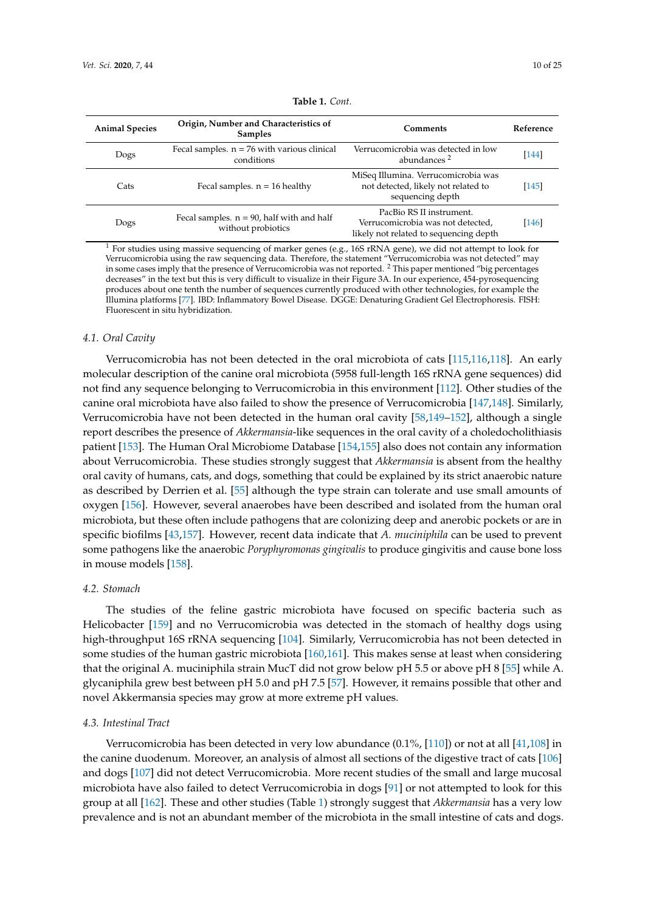<span id="page-9-0"></span>

| <b>Animal Species</b> | Origin, Number and Characteristics of<br><b>Samples</b>            | <b>Comments</b>                                                                                         | Reference |
|-----------------------|--------------------------------------------------------------------|---------------------------------------------------------------------------------------------------------|-----------|
| Dogs                  | Fecal samples. $n = 76$ with various clinical<br>conditions        | Verrucomicrobia was detected in low<br>abundances <sup>2</sup>                                          | $[144]$   |
| Cats                  | Fecal samples. $n = 16$ healthy                                    | MiSeq Illumina. Verrucomicrobia was<br>not detected, likely not related to<br>sequencing depth          | [145]     |
| Dogs                  | Fecal samples. $n = 90$ , half with and half<br>without probiotics | PacBio RS II instrument.<br>Verrucomicrobia was not detected,<br>likely not related to sequencing depth | [146]     |

| <b>Table 1.</b> Cont. |
|-----------------------|
|-----------------------|

<sup>1</sup> For studies using massive sequencing of marker genes (e.g., 16S rRNA gene), we did not attempt to look for Verrucomicrobia using the raw sequencing data. Therefore, the statement "Verrucomicrobia was not detected" may in some cases imply that the presence of Verrucomicrobia was not reported. <sup>2</sup> This paper mentioned "big percentages decreases" in the text but this is very difficult to visualize in their Figure 3A. In our experience, 454-pyrosequencing produces about one tenth the number of sequences currently produced with other technologies, for example the Illumina platforms [\[77\]](#page-17-6). IBD: Inflammatory Bowel Disease. DGGE: Denaturing Gradient Gel Electrophoresis. FISH: Fluorescent in situ hybridization.

#### *4.1. Oral Cavity*

Verrucomicrobia has not been detected in the oral microbiota of cats [\[115](#page-19-4)[,116](#page-19-5)[,118\]](#page-19-7). An early molecular description of the canine oral microbiota (5958 full-length 16S rRNA gene sequences) did not find any sequence belonging to Verrucomicrobia in this environment [\[112\]](#page-19-1). Other studies of the canine oral microbiota have also failed to show the presence of Verrucomicrobia [\[147](#page-21-0)[,148\]](#page-21-1). Similarly, Verrucomicrobia have not been detected in the human oral cavity [\[58](#page-16-6)[,149–](#page-21-2)[152\]](#page-21-3), although a single report describes the presence of *Akkermansia*-like sequences in the oral cavity of a choledocholithiasis patient [\[153\]](#page-21-4). The Human Oral Microbiome Database [\[154](#page-21-5)[,155\]](#page-21-6) also does not contain any information about Verrucomicrobia. These studies strongly suggest that *Akkermansia* is absent from the healthy oral cavity of humans, cats, and dogs, something that could be explained by its strict anaerobic nature as described by Derrien et al. [\[55\]](#page-16-3) although the type strain can tolerate and use small amounts of oxygen [\[156\]](#page-21-7). However, several anaerobes have been described and isolated from the human oral microbiota, but these often include pathogens that are colonizing deep and anerobic pockets or are in specific biofilms [\[43](#page-15-9)[,157\]](#page-21-8). However, recent data indicate that *A. muciniphila* can be used to prevent some pathogens like the anaerobic *Poryphyromonas gingivalis* to produce gingivitis and cause bone loss in mouse models [\[158\]](#page-21-9).

## *4.2. Stomach*

The studies of the feline gastric microbiota have focused on specific bacteria such as Helicobacter [\[159\]](#page-21-10) and no Verrucomicrobia was detected in the stomach of healthy dogs using high-throughput 16S rRNA sequencing [\[104\]](#page-18-9). Similarly, Verrucomicrobia has not been detected in some studies of the human gastric microbiota [\[160](#page-21-11)[,161\]](#page-21-12). This makes sense at least when considering that the original A. muciniphila strain MucT did not grow below pH 5.5 or above pH 8 [\[55\]](#page-16-3) while A. glycaniphila grew best between pH 5.0 and pH 7.5 [\[57\]](#page-16-5). However, it remains possible that other and novel Akkermansia species may grow at more extreme pH values.

#### *4.3. Intestinal Tract*

Verrucomicrobia has been detected in very low abundance (0.1%, [\[110\]](#page-18-15)) or not at all [\[41,](#page-15-7)[108\]](#page-18-13) in the canine duodenum. Moreover, an analysis of almost all sections of the digestive tract of cats [\[106\]](#page-18-11) and dogs [\[107\]](#page-18-12) did not detect Verrucomicrobia. More recent studies of the small and large mucosal microbiota have also failed to detect Verrucomicrobia in dogs [\[91\]](#page-17-17) or not attempted to look for this group at all [\[162\]](#page-21-13). These and other studies (Table [1\)](#page-9-0) strongly suggest that *Akkermansia* has a very low prevalence and is not an abundant member of the microbiota in the small intestine of cats and dogs.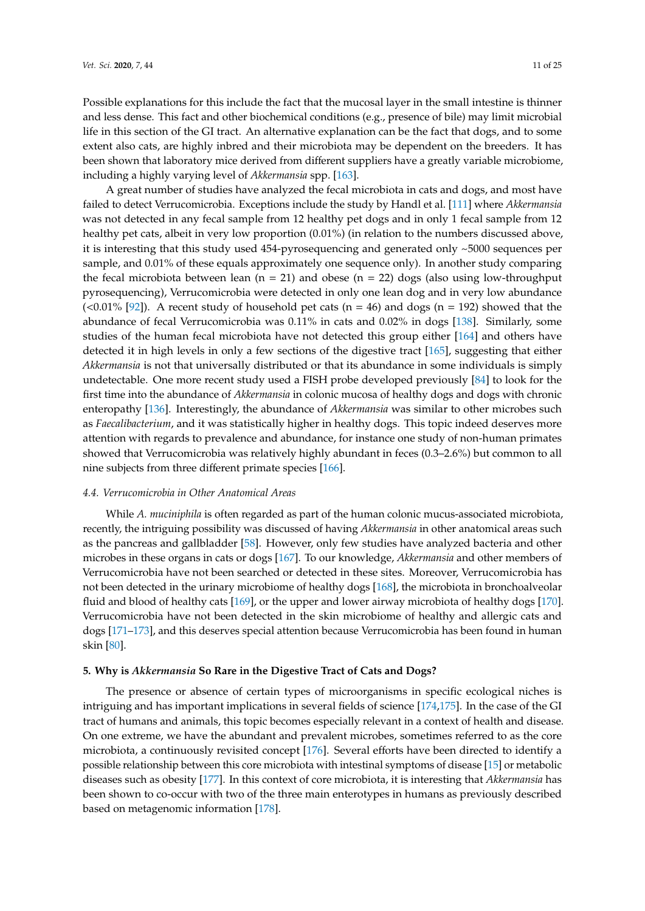Possible explanations for this include the fact that the mucosal layer in the small intestine is thinner and less dense. This fact and other biochemical conditions (e.g., presence of bile) may limit microbial life in this section of the GI tract. An alternative explanation can be the fact that dogs, and to some extent also cats, are highly inbred and their microbiota may be dependent on the breeders. It has been shown that laboratory mice derived from different suppliers have a greatly variable microbiome, including a highly varying level of *Akkermansia* spp. [\[163\]](#page-21-14).

A great number of studies have analyzed the fecal microbiota in cats and dogs, and most have failed to detect Verrucomicrobia. Exceptions include the study by Handl et al. [\[111\]](#page-19-0) where *Akkermansia* was not detected in any fecal sample from 12 healthy pet dogs and in only 1 fecal sample from 12 healthy pet cats, albeit in very low proportion (0.01%) (in relation to the numbers discussed above, it is interesting that this study used 454-pyrosequencing and generated only ~5000 sequences per sample, and 0.01% of these equals approximately one sequence only). In another study comparing the fecal microbiota between lean ( $n = 21$ ) and obese ( $n = 22$ ) dogs (also using low-throughput pyrosequencing), Verrucomicrobia were detected in only one lean dog and in very low abundance (<0.01% [\[92\]](#page-18-0)). A recent study of household pet cats ( $n = 46$ ) and dogs ( $n = 192$ ) showed that the abundance of fecal Verrucomicrobia was 0.11% in cats and 0.02% in dogs [\[138\]](#page-20-8). Similarly, some studies of the human fecal microbiota have not detected this group either [\[164\]](#page-21-15) and others have detected it in high levels in only a few sections of the digestive tract [\[165\]](#page-21-16), suggesting that either *Akkermansia* is not that universally distributed or that its abundance in some individuals is simply undetectable. One more recent study used a FISH probe developed previously [\[84\]](#page-17-13) to look for the first time into the abundance of *Akkermansia* in colonic mucosa of healthy dogs and dogs with chronic enteropathy [\[136\]](#page-20-6). Interestingly, the abundance of *Akkermansia* was similar to other microbes such as *Faecalibacterium*, and it was statistically higher in healthy dogs. This topic indeed deserves more attention with regards to prevalence and abundance, for instance one study of non-human primates showed that Verrucomicrobia was relatively highly abundant in feces (0.3–2.6%) but common to all nine subjects from three different primate species [\[166\]](#page-22-0).

# *4.4. Verrucomicrobia in Other Anatomical Areas*

While *A. muciniphila* is often regarded as part of the human colonic mucus-associated microbiota, recently, the intriguing possibility was discussed of having *Akkermansia* in other anatomical areas such as the pancreas and gallbladder [\[58\]](#page-16-6). However, only few studies have analyzed bacteria and other microbes in these organs in cats or dogs [\[167\]](#page-22-1). To our knowledge, *Akkermansia* and other members of Verrucomicrobia have not been searched or detected in these sites. Moreover, Verrucomicrobia has not been detected in the urinary microbiome of healthy dogs [\[168\]](#page-22-2), the microbiota in bronchoalveolar fluid and blood of healthy cats [\[169\]](#page-22-3), or the upper and lower airway microbiota of healthy dogs [\[170\]](#page-22-4). Verrucomicrobia have not been detected in the skin microbiome of healthy and allergic cats and dogs [\[171](#page-22-5)[–173\]](#page-22-6), and this deserves special attention because Verrucomicrobia has been found in human skin [\[80\]](#page-17-9).

## **5. Why is** *Akkermansia* **So Rare in the Digestive Tract of Cats and Dogs?**

The presence or absence of certain types of microorganisms in specific ecological niches is intriguing and has important implications in several fields of science [\[174](#page-22-7)[,175\]](#page-22-8). In the case of the GI tract of humans and animals, this topic becomes especially relevant in a context of health and disease. On one extreme, we have the abundant and prevalent microbes, sometimes referred to as the core microbiota, a continuously revisited concept [\[176\]](#page-22-9). Several efforts have been directed to identify a possible relationship between this core microbiota with intestinal symptoms of disease [\[15\]](#page-14-5) or metabolic diseases such as obesity [\[177\]](#page-22-10). In this context of core microbiota, it is interesting that *Akkermansia* has been shown to co-occur with two of the three main enterotypes in humans as previously described based on metagenomic information [\[178\]](#page-22-11).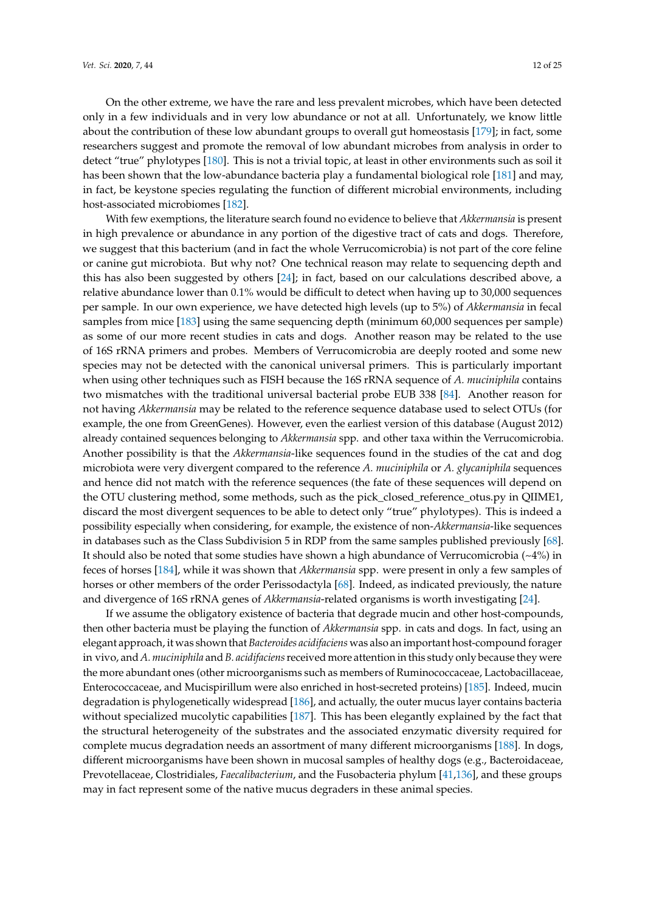On the other extreme, we have the rare and less prevalent microbes, which have been detected only in a few individuals and in very low abundance or not at all. Unfortunately, we know little about the contribution of these low abundant groups to overall gut homeostasis [\[179\]](#page-22-12); in fact, some researchers suggest and promote the removal of low abundant microbes from analysis in order to detect "true" phylotypes [\[180\]](#page-22-13). This is not a trivial topic, at least in other environments such as soil it has been shown that the low-abundance bacteria play a fundamental biological role [\[181\]](#page-22-14) and may, in fact, be keystone species regulating the function of different microbial environments, including host-associated microbiomes [\[182\]](#page-22-15).

With few exemptions, the literature search found no evidence to believe that *Akkermansia* is present in high prevalence or abundance in any portion of the digestive tract of cats and dogs. Therefore, we suggest that this bacterium (and in fact the whole Verrucomicrobia) is not part of the core feline or canine gut microbiota. But why not? One technical reason may relate to sequencing depth and this has also been suggested by others [\[24\]](#page-14-14); in fact, based on our calculations described above, a relative abundance lower than 0.1% would be difficult to detect when having up to 30,000 sequences per sample. In our own experience, we have detected high levels (up to 5%) of *Akkermansia* in fecal samples from mice [\[183\]](#page-22-16) using the same sequencing depth (minimum 60,000 sequences per sample) as some of our more recent studies in cats and dogs. Another reason may be related to the use of 16S rRNA primers and probes. Members of Verrucomicrobia are deeply rooted and some new species may not be detected with the canonical universal primers. This is particularly important when using other techniques such as FISH because the 16S rRNA sequence of *A. muciniphila* contains two mismatches with the traditional universal bacterial probe EUB 338 [\[84\]](#page-17-13). Another reason for not having *Akkermansia* may be related to the reference sequence database used to select OTUs (for example, the one from GreenGenes). However, even the earliest version of this database (August 2012) already contained sequences belonging to *Akkermansia* spp. and other taxa within the Verrucomicrobia. Another possibility is that the *Akkermansia*-like sequences found in the studies of the cat and dog microbiota were very divergent compared to the reference *A. muciniphila* or *A. glycaniphila* sequences and hence did not match with the reference sequences (the fate of these sequences will depend on the OTU clustering method, some methods, such as the pick\_closed\_reference\_otus.py in QIIME1, discard the most divergent sequences to be able to detect only "true" phylotypes). This is indeed a possibility especially when considering, for example, the existence of non-*Akkermansia*-like sequences in databases such as the Class Subdivision 5 in RDP from the same samples published previously [\[68\]](#page-16-15). It should also be noted that some studies have shown a high abundance of Verrucomicrobia  $(\sim 4\%)$  in feces of horses [\[184\]](#page-22-17), while it was shown that *Akkermansia* spp. were present in only a few samples of horses or other members of the order Perissodactyla [\[68\]](#page-16-15). Indeed, as indicated previously, the nature and divergence of 16S rRNA genes of *Akkermansia*-related organisms is worth investigating [\[24\]](#page-14-14).

If we assume the obligatory existence of bacteria that degrade mucin and other host-compounds, then other bacteria must be playing the function of *Akkermansia* spp. in cats and dogs. In fact, using an elegant approach, it was shown that *Bacteroides acidifaciens* was also an important host-compound forager in vivo, and *A. muciniphila* and *B. acidifaciens*received more attention in this study only because they were the more abundant ones (other microorganisms such as members of Ruminococcaceae, Lactobacillaceae, Enterococcaceae, and Mucispirillum were also enriched in host-secreted proteins) [\[185\]](#page-23-0). Indeed, mucin degradation is phylogenetically widespread [\[186\]](#page-23-1), and actually, the outer mucus layer contains bacteria without specialized mucolytic capabilities [\[187\]](#page-23-2). This has been elegantly explained by the fact that the structural heterogeneity of the substrates and the associated enzymatic diversity required for complete mucus degradation needs an assortment of many different microorganisms [\[188\]](#page-23-3). In dogs, different microorganisms have been shown in mucosal samples of healthy dogs (e.g., Bacteroidaceae, Prevotellaceae, Clostridiales, *Faecalibacterium*, and the Fusobacteria phylum [\[41,](#page-15-7)[136\]](#page-20-6), and these groups may in fact represent some of the native mucus degraders in these animal species.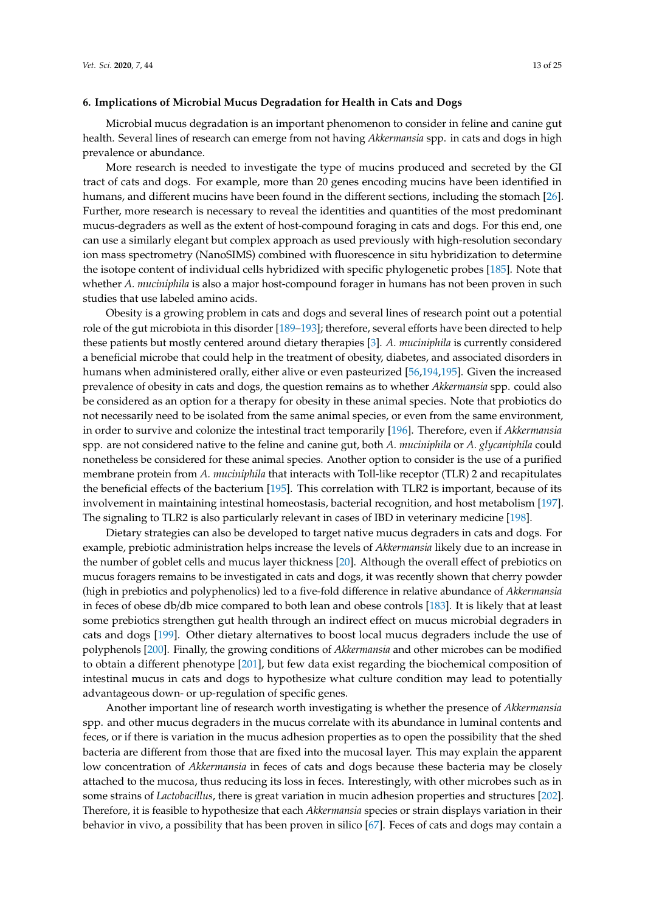#### **6. Implications of Microbial Mucus Degradation for Health in Cats and Dogs**

Microbial mucus degradation is an important phenomenon to consider in feline and canine gut health. Several lines of research can emerge from not having *Akkermansia* spp. in cats and dogs in high prevalence or abundance.

More research is needed to investigate the type of mucins produced and secreted by the GI tract of cats and dogs. For example, more than 20 genes encoding mucins have been identified in humans, and different mucins have been found in the different sections, including the stomach [\[26\]](#page-14-19). Further, more research is necessary to reveal the identities and quantities of the most predominant mucus-degraders as well as the extent of host-compound foraging in cats and dogs. For this end, one can use a similarly elegant but complex approach as used previously with high-resolution secondary ion mass spectrometry (NanoSIMS) combined with fluorescence in situ hybridization to determine the isotope content of individual cells hybridized with specific phylogenetic probes [\[185\]](#page-23-0). Note that whether *A. muciniphila* is also a major host-compound forager in humans has not been proven in such studies that use labeled amino acids.

Obesity is a growing problem in cats and dogs and several lines of research point out a potential role of the gut microbiota in this disorder [\[189–](#page-23-4)[193\]](#page-23-5); therefore, several efforts have been directed to help these patients but mostly centered around dietary therapies [\[3\]](#page-13-2). *A. muciniphila* is currently considered a beneficial microbe that could help in the treatment of obesity, diabetes, and associated disorders in humans when administered orally, either alive or even pasteurized [\[56,](#page-16-4)[194,](#page-23-6)[195\]](#page-23-7). Given the increased prevalence of obesity in cats and dogs, the question remains as to whether *Akkermansia* spp. could also be considered as an option for a therapy for obesity in these animal species. Note that probiotics do not necessarily need to be isolated from the same animal species, or even from the same environment, in order to survive and colonize the intestinal tract temporarily [\[196\]](#page-23-8). Therefore, even if *Akkermansia* spp. are not considered native to the feline and canine gut, both *A. muciniphila* or *A. glycaniphila* could nonetheless be considered for these animal species. Another option to consider is the use of a purified membrane protein from *A. muciniphila* that interacts with Toll-like receptor (TLR) 2 and recapitulates the beneficial effects of the bacterium [\[195\]](#page-23-7). This correlation with TLR2 is important, because of its involvement in maintaining intestinal homeostasis, bacterial recognition, and host metabolism [\[197\]](#page-23-9). The signaling to TLR2 is also particularly relevant in cases of IBD in veterinary medicine [\[198\]](#page-23-10).

Dietary strategies can also be developed to target native mucus degraders in cats and dogs. For example, prebiotic administration helps increase the levels of *Akkermansia* likely due to an increase in the number of goblet cells and mucus layer thickness [\[20\]](#page-14-10). Although the overall effect of prebiotics on mucus foragers remains to be investigated in cats and dogs, it was recently shown that cherry powder (high in prebiotics and polyphenolics) led to a five-fold difference in relative abundance of *Akkermansia* in feces of obese db/db mice compared to both lean and obese controls [\[183\]](#page-22-16). It is likely that at least some prebiotics strengthen gut health through an indirect effect on mucus microbial degraders in cats and dogs [\[199\]](#page-23-11). Other dietary alternatives to boost local mucus degraders include the use of polyphenols [\[200\]](#page-23-12). Finally, the growing conditions of *Akkermansia* and other microbes can be modified to obtain a different phenotype [\[201\]](#page-23-13), but few data exist regarding the biochemical composition of intestinal mucus in cats and dogs to hypothesize what culture condition may lead to potentially advantageous down- or up-regulation of specific genes.

Another important line of research worth investigating is whether the presence of *Akkermansia* spp. and other mucus degraders in the mucus correlate with its abundance in luminal contents and feces, or if there is variation in the mucus adhesion properties as to open the possibility that the shed bacteria are different from those that are fixed into the mucosal layer. This may explain the apparent low concentration of *Akkermansia* in feces of cats and dogs because these bacteria may be closely attached to the mucosa, thus reducing its loss in feces. Interestingly, with other microbes such as in some strains of *Lactobacillus*, there is great variation in mucin adhesion properties and structures [\[202\]](#page-23-14). Therefore, it is feasible to hypothesize that each *Akkermansia* species or strain displays variation in their behavior in vivo, a possibility that has been proven in silico [\[67\]](#page-16-14). Feces of cats and dogs may contain a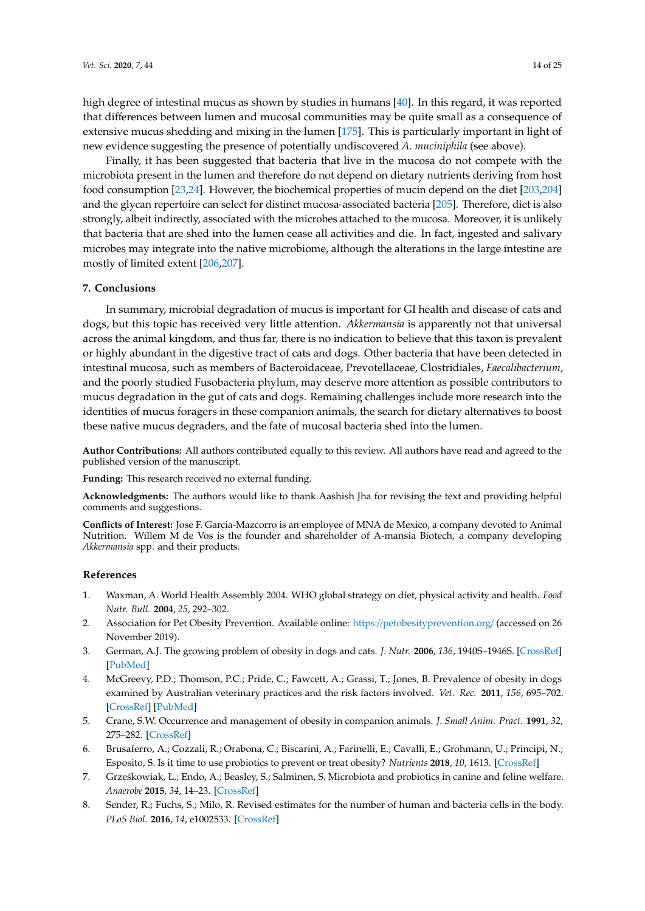high degree of intestinal mucus as shown by studies in humans [\[40\]](#page-15-6). In this regard, it was reported that differences between lumen and mucosal communities may be quite small as a consequence of extensive mucus shedding and mixing in the lumen [\[175\]](#page-22-8). This is particularly important in light of new evidence suggesting the presence of potentially undiscovered *A. muciniphila* (see above).

Finally, it has been suggested that bacteria that live in the mucosa do not compete with the microbiota present in the lumen and therefore do not depend on dietary nutrients deriving from host food consumption [\[23,](#page-14-13)[24\]](#page-14-14). However, the biochemical properties of mucin depend on the diet [\[203,](#page-23-15)[204\]](#page-23-16) and the glycan repertoire can select for distinct mucosa-associated bacteria [\[205\]](#page-23-17). Therefore, diet is also strongly, albeit indirectly, associated with the microbes attached to the mucosa. Moreover, it is unlikely that bacteria that are shed into the lumen cease all activities and die. In fact, ingested and salivary microbes may integrate into the native microbiome, although the alterations in the large intestine are mostly of limited extent [\[206,](#page-24-0)[207\]](#page-24-1).

## **7. Conclusions**

In summary, microbial degradation of mucus is important for GI health and disease of cats and dogs, but this topic has received very little attention. *Akkermansia* is apparently not that universal across the animal kingdom, and thus far, there is no indication to believe that this taxon is prevalent or highly abundant in the digestive tract of cats and dogs. Other bacteria that have been detected in intestinal mucosa, such as members of Bacteroidaceae, Prevotellaceae, Clostridiales, *Faecalibacterium*, and the poorly studied Fusobacteria phylum, may deserve more attention as possible contributors to mucus degradation in the gut of cats and dogs. Remaining challenges include more research into the identities of mucus foragers in these companion animals, the search for dietary alternatives to boost these native mucus degraders, and the fate of mucosal bacteria shed into the lumen.

**Author Contributions:** All authors contributed equally to this review. All authors have read and agreed to the published version of the manuscript.

**Funding:** This research received no external funding.

**Acknowledgments:** The authors would like to thank Aashish Jha for revising the text and providing helpful comments and suggestions.

**Conflicts of Interest:** Jose F. Garcia-Mazcorro is an employee of MNA de Mexico, a company devoted to Animal Nutrition. Willem M de Vos is the founder and shareholder of A-mansia Biotech, a company developing *Akkermansia* spp. and their products.

## **References**

- <span id="page-13-0"></span>1. Waxman, A. World Health Assembly 2004. WHO global strategy on diet, physical activity and health. *Food Nutr. Bull.* **2004**, *25*, 292–302.
- <span id="page-13-1"></span>2. Association for Pet Obesity Prevention. Available online: https://[petobesityprevention.org](https://petobesityprevention.org/)/ (accessed on 26 November 2019).
- <span id="page-13-2"></span>3. German, A.J. The growing problem of obesity in dogs and cats. *J. Nutr.* **2006**, *136*, 1940S–1946S. [\[CrossRef\]](http://dx.doi.org/10.1093/jn/136.7.1940S) [\[PubMed\]](http://www.ncbi.nlm.nih.gov/pubmed/16772464)
- <span id="page-13-3"></span>4. McGreevy, P.D.; Thomson, P.C.; Pride, C.; Fawcett, A.; Grassi, T.; Jones, B. Prevalence of obesity in dogs examined by Australian veterinary practices and the risk factors involved. *Vet. Rec.* **2011**, *156*, 695–702. [\[CrossRef\]](http://dx.doi.org/10.1136/vr.156.22.695) [\[PubMed\]](http://www.ncbi.nlm.nih.gov/pubmed/15923551)
- <span id="page-13-4"></span>5. Crane, S.W. Occurrence and management of obesity in companion animals. *J. Small Anim. Pract.* **1991**, *32*, 275–282. [\[CrossRef\]](http://dx.doi.org/10.1111/j.1748-5827.1991.tb00930.x)
- <span id="page-13-5"></span>6. Brusaferro, A.; Cozzali, R.; Orabona, C.; Biscarini, A.; Farinelli, E.; Cavalli, E.; Grohmann, U.; Principi, N.; Esposito, S. Is it time to use probiotics to prevent or treat obesity? *Nutrients* **2018**, *10*, 1613. [\[CrossRef\]](http://dx.doi.org/10.3390/nu10111613)
- <span id="page-13-6"></span>7. Grześkowiak, Ł.; Endo, A.; Beasley, S.; Salminen, S. Microbiota and probiotics in canine and feline welfare. *Anaerobe* **2015**, *34*, 14–23. [\[CrossRef\]](http://dx.doi.org/10.1016/j.anaerobe.2015.04.002)
- <span id="page-13-7"></span>8. Sender, R.; Fuchs, S.; Milo, R. Revised estimates for the number of human and bacteria cells in the body. *PLoS Biol.* **2016**, *14*, e1002533. [\[CrossRef\]](http://dx.doi.org/10.1371/journal.pbio.1002533)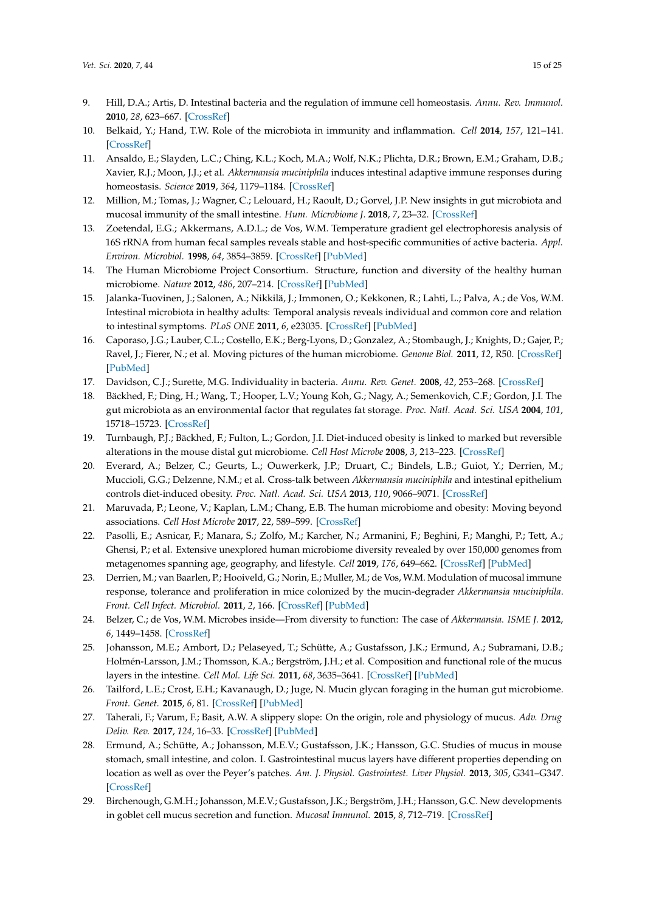- <span id="page-14-0"></span>9. Hill, D.A.; Artis, D. Intestinal bacteria and the regulation of immune cell homeostasis. *Annu. Rev. Immunol.* **2010**, *28*, 623–667. [\[CrossRef\]](http://dx.doi.org/10.1146/annurev-immunol-030409-101330)
- <span id="page-14-1"></span>10. Belkaid, Y.; Hand, T.W. Role of the microbiota in immunity and inflammation. *Cell* **2014**, *157*, 121–141. [\[CrossRef\]](http://dx.doi.org/10.1016/j.cell.2014.03.011)
- <span id="page-14-18"></span>11. Ansaldo, E.; Slayden, L.C.; Ching, K.L.; Koch, M.A.; Wolf, N.K.; Plichta, D.R.; Brown, E.M.; Graham, D.B.; Xavier, R.J.; Moon, J.J.; et al. *Akkermansia muciniphila* induces intestinal adaptive immune responses during homeostasis. *Science* **2019**, *364*, 1179–1184. [\[CrossRef\]](http://dx.doi.org/10.1126/science.aaw7479)
- <span id="page-14-2"></span>12. Million, M.; Tomas, J.; Wagner, C.; Lelouard, H.; Raoult, D.; Gorvel, J.P. New insights in gut microbiota and mucosal immunity of the small intestine. *Hum. Microbiome J.* **2018**, *7*, 23–32. [\[CrossRef\]](http://dx.doi.org/10.1016/j.humic.2018.01.004)
- <span id="page-14-3"></span>13. Zoetendal, E.G.; Akkermans, A.D.L.; de Vos, W.M. Temperature gradient gel electrophoresis analysis of 16S rRNA from human fecal samples reveals stable and host-specific communities of active bacteria. *Appl. Environ. Microbiol.* **1998**, *64*, 3854–3859. [\[CrossRef\]](http://dx.doi.org/10.1128/AEM.64.10.3854-3859.1998) [\[PubMed\]](http://www.ncbi.nlm.nih.gov/pubmed/9758810)
- <span id="page-14-4"></span>14. The Human Microbiome Project Consortium. Structure, function and diversity of the healthy human microbiome. *Nature* **2012**, *486*, 207–214. [\[CrossRef\]](http://dx.doi.org/10.1038/nature11234) [\[PubMed\]](http://www.ncbi.nlm.nih.gov/pubmed/22699609)
- <span id="page-14-5"></span>15. Jalanka-Tuovinen, J.; Salonen, A.; Nikkilä, J.; Immonen, O.; Kekkonen, R.; Lahti, L.; Palva, A.; de Vos, W.M. Intestinal microbiota in healthy adults: Temporal analysis reveals individual and common core and relation to intestinal symptoms. *PLoS ONE* **2011**, *6*, e23035. [\[CrossRef\]](http://dx.doi.org/10.1371/journal.pone.0023035) [\[PubMed\]](http://www.ncbi.nlm.nih.gov/pubmed/21829582)
- <span id="page-14-6"></span>16. Caporaso, J.G.; Lauber, C.L.; Costello, E.K.; Berg-Lyons, D.; Gonzalez, A.; Stombaugh, J.; Knights, D.; Gajer, P.; Ravel, J.; Fierer, N.; et al. Moving pictures of the human microbiome. *Genome Biol.* **2011**, *12*, R50. [\[CrossRef\]](http://dx.doi.org/10.1186/gb-2011-12-5-r50) [\[PubMed\]](http://www.ncbi.nlm.nih.gov/pubmed/21624126)
- <span id="page-14-7"></span>17. Davidson, C.J.; Surette, M.G. Individuality in bacteria. *Annu. Rev. Genet.* **2008**, *42*, 253–268. [\[CrossRef\]](http://dx.doi.org/10.1146/annurev.genet.42.110807.091601)
- <span id="page-14-8"></span>18. Bäckhed, F.; Ding, H.; Wang, T.; Hooper, L.V.; Young Koh, G.; Nagy, A.; Semenkovich, C.F.; Gordon, J.I. The gut microbiota as an environmental factor that regulates fat storage. *Proc. Natl. Acad. Sci. USA* **2004**, *101*, 15718–15723. [\[CrossRef\]](http://dx.doi.org/10.1073/pnas.0407076101)
- <span id="page-14-9"></span>19. Turnbaugh, P.J.; Bäckhed, F.; Fulton, L.; Gordon, J.I. Diet-induced obesity is linked to marked but reversible alterations in the mouse distal gut microbiome. *Cell Host Microbe* **2008**, *3*, 213–223. [\[CrossRef\]](http://dx.doi.org/10.1016/j.chom.2008.02.015)
- <span id="page-14-10"></span>20. Everard, A.; Belzer, C.; Geurts, L.; Ouwerkerk, J.P.; Druart, C.; Bindels, L.B.; Guiot, Y.; Derrien, M.; Muccioli, G.G.; Delzenne, N.M.; et al. Cross-talk between *Akkermansia muciniphila* and intestinal epithelium controls diet-induced obesity. *Proc. Natl. Acad. Sci. USA* **2013**, *110*, 9066–9071. [\[CrossRef\]](http://dx.doi.org/10.1073/pnas.1219451110)
- <span id="page-14-11"></span>21. Maruvada, P.; Leone, V.; Kaplan, L.M.; Chang, E.B. The human microbiome and obesity: Moving beyond associations. *Cell Host Microbe* **2017**, *22*, 589–599. [\[CrossRef\]](http://dx.doi.org/10.1016/j.chom.2017.10.005)
- <span id="page-14-12"></span>22. Pasolli, E.; Asnicar, F.; Manara, S.; Zolfo, M.; Karcher, N.; Armanini, F.; Beghini, F.; Manghi, P.; Tett, A.; Ghensi, P.; et al. Extensive unexplored human microbiome diversity revealed by over 150,000 genomes from metagenomes spanning age, geography, and lifestyle. *Cell* **2019**, *176*, 649–662. [\[CrossRef\]](http://dx.doi.org/10.1016/j.cell.2019.01.001) [\[PubMed\]](http://www.ncbi.nlm.nih.gov/pubmed/30661755)
- <span id="page-14-13"></span>23. Derrien, M.; van Baarlen, P.; Hooiveld, G.; Norin, E.; Muller, M.; de Vos, W.M. Modulation of mucosal immune response, tolerance and proliferation in mice colonized by the mucin-degrader *Akkermansia muciniphila*. *Front. Cell Infect. Microbiol.* **2011**, *2*, 166. [\[CrossRef\]](http://dx.doi.org/10.3389/fmicb.2011.00166) [\[PubMed\]](http://www.ncbi.nlm.nih.gov/pubmed/21904534)
- <span id="page-14-14"></span>24. Belzer, C.; de Vos, W.M. Microbes inside—From diversity to function: The case of *Akkermansia*. *ISME J.* **2012**, *6*, 1449–1458. [\[CrossRef\]](http://dx.doi.org/10.1038/ismej.2012.6)
- <span id="page-14-15"></span>25. Johansson, M.E.; Ambort, D.; Pelaseyed, T.; Schütte, A.; Gustafsson, J.K.; Ermund, A.; Subramani, D.B.; Holmén-Larsson, J.M.; Thomsson, K.A.; Bergström, J.H.; et al. Composition and functional role of the mucus layers in the intestine. *Cell Mol. Life Sci.* **2011**, *68*, 3635–3641. [\[CrossRef\]](http://dx.doi.org/10.1007/s00018-011-0822-3) [\[PubMed\]](http://www.ncbi.nlm.nih.gov/pubmed/21947475)
- <span id="page-14-19"></span>26. Tailford, L.E.; Crost, E.H.; Kavanaugh, D.; Juge, N. Mucin glycan foraging in the human gut microbiome. *Front. Genet.* **2015**, *6*, 81. [\[CrossRef\]](http://dx.doi.org/10.3389/fgene.2015.00081) [\[PubMed\]](http://www.ncbi.nlm.nih.gov/pubmed/25852737)
- <span id="page-14-16"></span>27. Taherali, F.; Varum, F.; Basit, A.W. A slippery slope: On the origin, role and physiology of mucus. *Adv. Drug Deliv. Rev.* **2017**, *124*, 16–33. [\[CrossRef\]](http://dx.doi.org/10.1016/j.addr.2017.10.014) [\[PubMed\]](http://www.ncbi.nlm.nih.gov/pubmed/29108861)
- <span id="page-14-17"></span>28. Ermund, A.; Schütte, A.; Johansson, M.E.V.; Gustafsson, J.K.; Hansson, G.C. Studies of mucus in mouse stomach, small intestine, and colon. I. Gastrointestinal mucus layers have different properties depending on location as well as over the Peyer's patches. *Am. J. Physiol. Gastrointest. Liver Physiol.* **2013**, *305*, G341–G347. [\[CrossRef\]](http://dx.doi.org/10.1152/ajpgi.00046.2013)
- 29. Birchenough, G.M.H.; Johansson, M.E.V.; Gustafsson, J.K.; Bergström, J.H.; Hansson, G.C. New developments in goblet cell mucus secretion and function. *Mucosal Immunol.* **2015**, *8*, 712–719. [\[CrossRef\]](http://dx.doi.org/10.1038/mi.2015.32)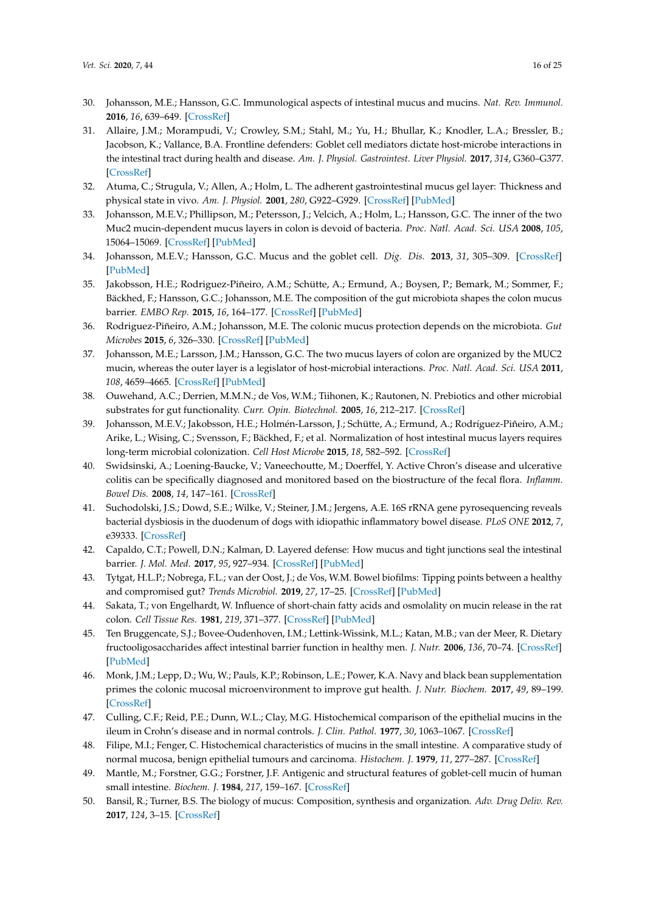- 30. Johansson, M.E.; Hansson, G.C. Immunological aspects of intestinal mucus and mucins. *Nat. Rev. Immunol.* **2016**, *16*, 639–649. [\[CrossRef\]](http://dx.doi.org/10.1038/nri.2016.88)
- <span id="page-15-0"></span>31. Allaire, J.M.; Morampudi, V.; Crowley, S.M.; Stahl, M.; Yu, H.; Bhullar, K.; Knodler, L.A.; Bressler, B.; Jacobson, K.; Vallance, B.A. Frontline defenders: Goblet cell mediators dictate host-microbe interactions in the intestinal tract during health and disease. *Am. J. Physiol. Gastrointest. Liver Physiol.* **2017**, *314*, G360–G377. [\[CrossRef\]](http://dx.doi.org/10.1152/ajpgi.00181.2017)
- <span id="page-15-1"></span>32. Atuma, C.; Strugula, V.; Allen, A.; Holm, L. The adherent gastrointestinal mucus gel layer: Thickness and physical state in vivo. *Am. J. Physiol.* **2001**, *280*, G922–G929. [\[CrossRef\]](http://dx.doi.org/10.1152/ajpgi.2001.280.5.G922) [\[PubMed\]](http://www.ncbi.nlm.nih.gov/pubmed/11292601)
- 33. Johansson, M.E.V.; Phillipson, M.; Petersson, J.; Velcich, A.; Holm, L.; Hansson, G.C. The inner of the two Muc2 mucin-dependent mucus layers in colon is devoid of bacteria. *Proc. Natl. Acad. Sci. USA* **2008**, *105*, 15064–15069. [\[CrossRef\]](http://dx.doi.org/10.1073/pnas.0803124105) [\[PubMed\]](http://www.ncbi.nlm.nih.gov/pubmed/18806221)
- 34. Johansson, M.E.V.; Hansson, G.C. Mucus and the goblet cell. *Dig. Dis.* **2013**, *31*, 305–309. [\[CrossRef\]](http://dx.doi.org/10.1159/000354683) [\[PubMed\]](http://www.ncbi.nlm.nih.gov/pubmed/24246979)
- 35. Jakobsson, H.E.; Rodriguez-Piñeiro, A.M.; Schütte, A.; Ermund, A.; Boysen, P.; Bemark, M.; Sommer, F.; Bäckhed, F.; Hansson, G.C.; Johansson, M.E. The composition of the gut microbiota shapes the colon mucus barrier. *EMBO Rep.* **2015**, *16*, 164–177. [\[CrossRef\]](http://dx.doi.org/10.15252/embr.201439263) [\[PubMed\]](http://www.ncbi.nlm.nih.gov/pubmed/25525071)
- <span id="page-15-2"></span>36. Rodriguez-Piñeiro, A.M.; Johansson, M.E. The colonic mucus protection depends on the microbiota. *Gut Microbes* **2015**, *6*, 326–330. [\[CrossRef\]](http://dx.doi.org/10.1080/19490976.2015.1086057) [\[PubMed\]](http://www.ncbi.nlm.nih.gov/pubmed/26305453)
- <span id="page-15-3"></span>37. Johansson, M.E.; Larsson, J.M.; Hansson, G.C. The two mucus layers of colon are organized by the MUC2 mucin, whereas the outer layer is a legislator of host-microbial interactions. *Proc. Natl. Acad. Sci. USA* **2011**, *108*, 4659–4665. [\[CrossRef\]](http://dx.doi.org/10.1073/pnas.1006451107) [\[PubMed\]](http://www.ncbi.nlm.nih.gov/pubmed/20615996)
- <span id="page-15-4"></span>38. Ouwehand, A.C.; Derrien, M.M.N.; de Vos, W.M.; Tiihonen, K.; Rautonen, N. Prebiotics and other microbial substrates for gut functionality. *Curr. Opin. Biotechnol.* **2005**, *16*, 212–217. [\[CrossRef\]](http://dx.doi.org/10.1016/j.copbio.2005.01.007)
- <span id="page-15-5"></span>39. Johansson, M.E.V.; Jakobsson, H.E.; Holmén-Larsson, J.; Schütte, A.; Ermund, A.; Rodríguez-Piñeiro, A.M.; Arike, L.; Wising, C.; Svensson, F.; Bäckhed, F.; et al. Normalization of host intestinal mucus layers requires long-term microbial colonization. *Cell Host Microbe* **2015**, *18*, 582–592. [\[CrossRef\]](http://dx.doi.org/10.1016/j.chom.2015.10.007)
- <span id="page-15-6"></span>40. Swidsinski, A.; Loening-Baucke, V.; Vaneechoutte, M.; Doerffel, Y. Active Chron's disease and ulcerative colitis can be specifically diagnosed and monitored based on the biostructure of the fecal flora. *Inflamm. Bowel Dis.* **2008**, *14*, 147–161. [\[CrossRef\]](http://dx.doi.org/10.1002/ibd.20330)
- <span id="page-15-7"></span>41. Suchodolski, J.S.; Dowd, S.E.; Wilke, V.; Steiner, J.M.; Jergens, A.E. 16S rRNA gene pyrosequencing reveals bacterial dysbiosis in the duodenum of dogs with idiopathic inflammatory bowel disease. *PLoS ONE* **2012**, *7*, e39333. [\[CrossRef\]](http://dx.doi.org/10.1371/journal.pone.0039333)
- <span id="page-15-8"></span>42. Capaldo, C.T.; Powell, D.N.; Kalman, D. Layered defense: How mucus and tight junctions seal the intestinal barrier. *J. Mol. Med.* **2017**, *95*, 927–934. [\[CrossRef\]](http://dx.doi.org/10.1007/s00109-017-1557-x) [\[PubMed\]](http://www.ncbi.nlm.nih.gov/pubmed/28707083)
- <span id="page-15-9"></span>43. Tytgat, H.L.P.; Nobrega, F.L.; van der Oost, J.; de Vos, W.M. Bowel biofilms: Tipping points between a healthy and compromised gut? *Trends Microbiol.* **2019**, *27*, 17–25. [\[CrossRef\]](http://dx.doi.org/10.1016/j.tim.2018.08.009) [\[PubMed\]](http://www.ncbi.nlm.nih.gov/pubmed/30219265)
- <span id="page-15-10"></span>44. Sakata, T.; von Engelhardt, W. Influence of short-chain fatty acids and osmolality on mucin release in the rat colon. *Cell Tissue Res.* **1981**, *219*, 371–377. [\[CrossRef\]](http://dx.doi.org/10.1007/BF00210155) [\[PubMed\]](http://www.ncbi.nlm.nih.gov/pubmed/7273104)
- <span id="page-15-11"></span>45. Ten Bruggencate, S.J.; Bovee-Oudenhoven, I.M.; Lettink-Wissink, M.L.; Katan, M.B.; van der Meer, R. Dietary fructooligosaccharides affect intestinal barrier function in healthy men. *J. Nutr.* **2006**, *136*, 70–74. [\[CrossRef\]](http://dx.doi.org/10.1093/jn/136.1.70) [\[PubMed\]](http://www.ncbi.nlm.nih.gov/pubmed/16365061)
- <span id="page-15-12"></span>46. Monk, J.M.; Lepp, D.; Wu, W.; Pauls, K.P.; Robinson, L.E.; Power, K.A. Navy and black bean supplementation primes the colonic mucosal microenvironment to improve gut health. *J. Nutr. Biochem.* **2017**, *49*, 89–199. [\[CrossRef\]](http://dx.doi.org/10.1016/j.jnutbio.2017.08.002)
- <span id="page-15-13"></span>47. Culling, C.F.; Reid, P.E.; Dunn, W.L.; Clay, M.G. Histochemical comparison of the epithelial mucins in the ileum in Crohn's disease and in normal controls. *J. Clin. Pathol.* **1977**, *30*, 1063–1067. [\[CrossRef\]](http://dx.doi.org/10.1136/jcp.30.11.1063)
- 48. Filipe, M.I.; Fenger, C. Histochemical characteristics of mucins in the small intestine. A comparative study of normal mucosa, benign epithelial tumours and carcinoma. *Histochem. J.* **1979**, *11*, 277–287. [\[CrossRef\]](http://dx.doi.org/10.1007/BF01005027)
- 49. Mantle, M.; Forstner, G.G.; Forstner, J.F. Antigenic and structural features of goblet-cell mucin of human small intestine. *Biochem. J.* **1984**, *217*, 159–167. [\[CrossRef\]](http://dx.doi.org/10.1042/bj2170159)
- <span id="page-15-14"></span>50. Bansil, R.; Turner, B.S. The biology of mucus: Composition, synthesis and organization. *Adv. Drug Deliv. Rev.* **2017**, *124*, 3–15. [\[CrossRef\]](http://dx.doi.org/10.1016/j.addr.2017.09.023)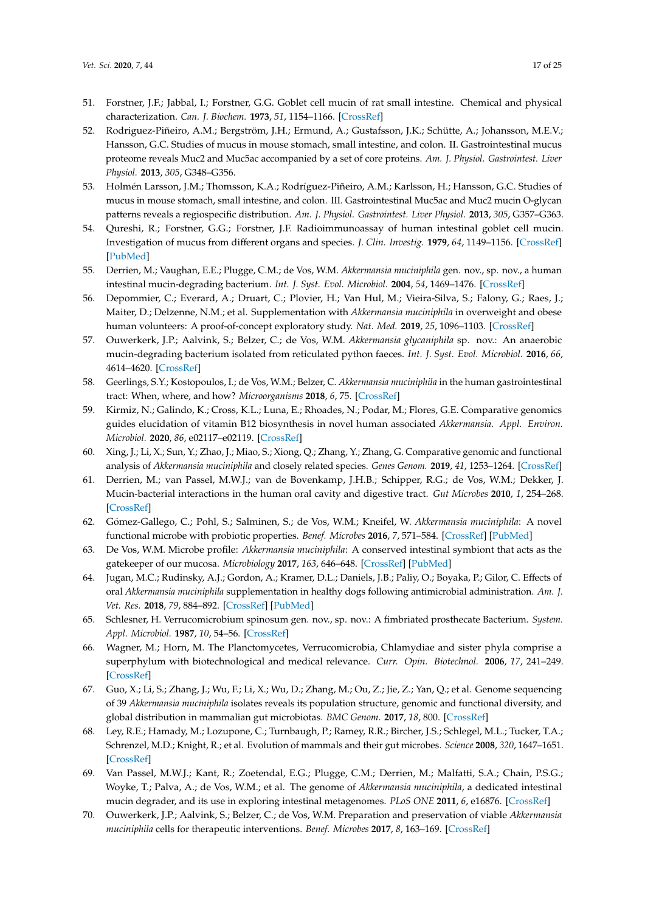- <span id="page-16-0"></span>51. Forstner, J.F.; Jabbal, I.; Forstner, G.G. Goblet cell mucin of rat small intestine. Chemical and physical characterization. *Can. J. Biochem.* **1973**, *51*, 1154–1166. [\[CrossRef\]](http://dx.doi.org/10.1139/o73-152)
- 52. Rodriguez-Piñeiro, A.M.; Bergström, J.H.; Ermund, A.; Gustafsson, J.K.; Schütte, A.; Johansson, M.E.V.; Hansson, G.C. Studies of mucus in mouse stomach, small intestine, and colon. II. Gastrointestinal mucus proteome reveals Muc2 and Muc5ac accompanied by a set of core proteins. *Am. J. Physiol. Gastrointest. Liver Physiol.* **2013**, *305*, G348–G356.
- <span id="page-16-1"></span>53. Holmén Larsson, J.M.; Thomsson, K.A.; Rodríguez-Piñeiro, A.M.; Karlsson, H.; Hansson, G.C. Studies of mucus in mouse stomach, small intestine, and colon. III. Gastrointestinal Muc5ac and Muc2 mucin O-glycan patterns reveals a regiospecific distribution. *Am. J. Physiol. Gastrointest. Liver Physiol.* **2013**, *305*, G357–G363.
- <span id="page-16-2"></span>54. Qureshi, R.; Forstner, G.G.; Forstner, J.F. Radioimmunoassay of human intestinal goblet cell mucin. Investigation of mucus from different organs and species. *J. Clin. Investig.* **1979**, *64*, 1149–1156. [\[CrossRef\]](http://dx.doi.org/10.1172/JCI109568) [\[PubMed\]](http://www.ncbi.nlm.nih.gov/pubmed/115900)
- <span id="page-16-3"></span>55. Derrien, M.; Vaughan, E.E.; Plugge, C.M.; de Vos, W.M. *Akkermansia muciniphila* gen. nov., sp. nov., a human intestinal mucin-degrading bacterium. *Int. J. Syst. Evol. Microbiol.* **2004**, *54*, 1469–1476. [\[CrossRef\]](http://dx.doi.org/10.1099/ijs.0.02873-0)
- <span id="page-16-4"></span>56. Depommier, C.; Everard, A.; Druart, C.; Plovier, H.; Van Hul, M.; Vieira-Silva, S.; Falony, G.; Raes, J.; Maiter, D.; Delzenne, N.M.; et al. Supplementation with *Akkermansia muciniphila* in overweight and obese human volunteers: A proof-of-concept exploratory study. *Nat. Med.* **2019**, *25*, 1096–1103. [\[CrossRef\]](http://dx.doi.org/10.1038/s41591-019-0495-2)
- <span id="page-16-5"></span>57. Ouwerkerk, J.P.; Aalvink, S.; Belzer, C.; de Vos, W.M. *Akkermansia glycaniphila* sp. nov.: An anaerobic mucin-degrading bacterium isolated from reticulated python faeces. *Int. J. Syst. Evol. Microbiol.* **2016**, *66*, 4614–4620. [\[CrossRef\]](http://dx.doi.org/10.1099/ijsem.0.001399)
- <span id="page-16-6"></span>58. Geerlings, S.Y.; Kostopoulos, I.; de Vos, W.M.; Belzer, C. *Akkermansia muciniphila* in the human gastrointestinal tract: When, where, and how? *Microorganisms* **2018**, *6*, 75. [\[CrossRef\]](http://dx.doi.org/10.3390/microorganisms6030075)
- <span id="page-16-7"></span>59. Kirmiz, N.; Galindo, K.; Cross, K.L.; Luna, E.; Rhoades, N.; Podar, M.; Flores, G.E. Comparative genomics guides elucidation of vitamin B12 biosynthesis in novel human associated *Akkermansia*. *Appl. Environ. Microbiol.* **2020**, *86*, e02117–e02119. [\[CrossRef\]](http://dx.doi.org/10.1128/AEM.02117-19)
- <span id="page-16-8"></span>60. Xing, J.; Li, X.; Sun, Y.; Zhao, J.; Miao, S.; Xiong, Q.; Zhang, Y.; Zhang, G. Comparative genomic and functional analysis of *Akkermansia muciniphila* and closely related species. *Genes Genom.* **2019**, *41*, 1253–1264. [\[CrossRef\]](http://dx.doi.org/10.1007/s13258-019-00855-1)
- <span id="page-16-9"></span>61. Derrien, M.; van Passel, M.W.J.; van de Bovenkamp, J.H.B.; Schipper, R.G.; de Vos, W.M.; Dekker, J. Mucin-bacterial interactions in the human oral cavity and digestive tract. *Gut Microbes* **2010**, *1*, 254–268. [\[CrossRef\]](http://dx.doi.org/10.4161/gmic.1.4.12778)
- 62. Gómez-Gallego, C.; Pohl, S.; Salminen, S.; de Vos, W.M.; Kneifel, W. *Akkermansia muciniphila*: A novel functional microbe with probiotic properties. *Benef. Microbes* **2016**, *7*, 571–584. [\[CrossRef\]](http://dx.doi.org/10.3920/BM2016.0009) [\[PubMed\]](http://www.ncbi.nlm.nih.gov/pubmed/27291403)
- <span id="page-16-10"></span>63. De Vos, W.M. Microbe profile: *Akkermansia muciniphila*: A conserved intestinal symbiont that acts as the gatekeeper of our mucosa. *Microbiology* **2017**, *163*, 646–648. [\[CrossRef\]](http://dx.doi.org/10.1099/mic.0.000444) [\[PubMed\]](http://www.ncbi.nlm.nih.gov/pubmed/28530168)
- <span id="page-16-11"></span>64. Jugan, M.C.; Rudinsky, A.J.; Gordon, A.; Kramer, D.L.; Daniels, J.B.; Paliy, O.; Boyaka, P.; Gilor, C. Effects of oral *Akkermansia muciniphila* supplementation in healthy dogs following antimicrobial administration. *Am. J. Vet. Res.* **2018**, *79*, 884–892. [\[CrossRef\]](http://dx.doi.org/10.2460/ajvr.79.8.884) [\[PubMed\]](http://www.ncbi.nlm.nih.gov/pubmed/30058857)
- <span id="page-16-12"></span>65. Schlesner, H. Verrucomicrobium spinosum gen. nov., sp. nov.: A fimbriated prosthecate Bacterium. *System. Appl. Microbiol.* **1987**, *10*, 54–56. [\[CrossRef\]](http://dx.doi.org/10.1016/S0723-2020(87)80010-3)
- <span id="page-16-13"></span>66. Wagner, M.; Horn, M. The Planctomycetes, Verrucomicrobia, Chlamydiae and sister phyla comprise a superphylum with biotechnological and medical relevance. *Curr. Opin. Biotechnol.* **2006**, *17*, 241–249. [\[CrossRef\]](http://dx.doi.org/10.1016/j.copbio.2006.05.005)
- <span id="page-16-14"></span>67. Guo, X.; Li, S.; Zhang, J.; Wu, F.; Li, X.; Wu, D.; Zhang, M.; Ou, Z.; Jie, Z.; Yan, Q.; et al. Genome sequencing of 39 *Akkermansia muciniphila* isolates reveals its population structure, genomic and functional diversity, and global distribution in mammalian gut microbiotas. *BMC Genom.* **2017**, *18*, 800. [\[CrossRef\]](http://dx.doi.org/10.1186/s12864-017-4195-3)
- <span id="page-16-15"></span>68. Ley, R.E.; Hamady, M.; Lozupone, C.; Turnbaugh, P.; Ramey, R.R.; Bircher, J.S.; Schlegel, M.L.; Tucker, T.A.; Schrenzel, M.D.; Knight, R.; et al. Evolution of mammals and their gut microbes. *Science* **2008**, *320*, 1647–1651. [\[CrossRef\]](http://dx.doi.org/10.1126/science.1155725)
- <span id="page-16-16"></span>69. Van Passel, M.W.J.; Kant, R.; Zoetendal, E.G.; Plugge, C.M.; Derrien, M.; Malfatti, S.A.; Chain, P.S.G.; Woyke, T.; Palva, A.; de Vos, W.M.; et al. The genome of *Akkermansia muciniphila*, a dedicated intestinal mucin degrader, and its use in exploring intestinal metagenomes. *PLoS ONE* **2011**, *6*, e16876. [\[CrossRef\]](http://dx.doi.org/10.1371/journal.pone.0016876)
- <span id="page-16-17"></span>70. Ouwerkerk, J.P.; Aalvink, S.; Belzer, C.; de Vos, W.M. Preparation and preservation of viable *Akkermansia muciniphila* cells for therapeutic interventions. *Benef. Microbes* **2017**, *8*, 163–169. [\[CrossRef\]](http://dx.doi.org/10.3920/BM2016.0096)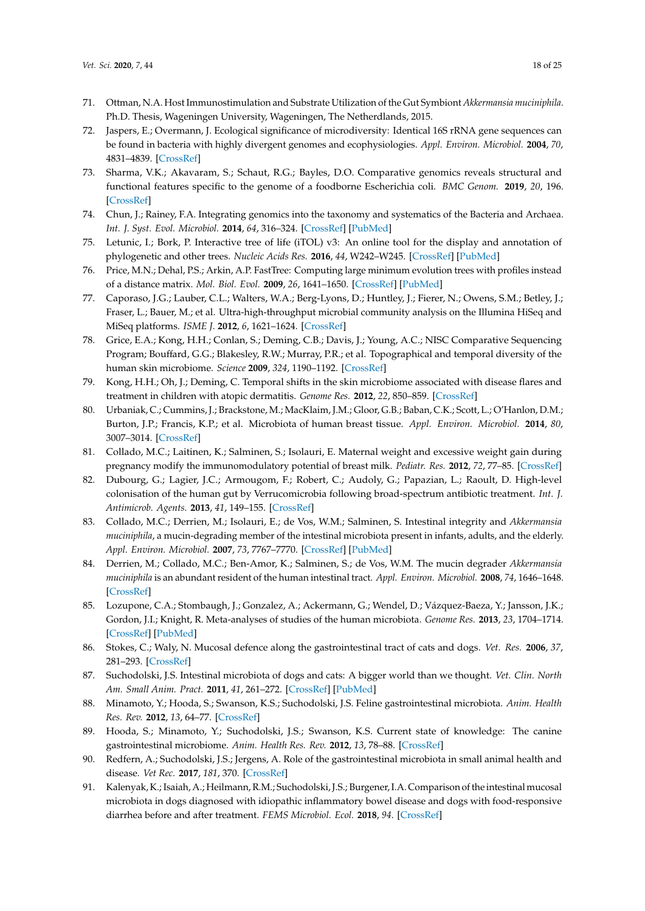- <span id="page-17-0"></span>71. Ottman, N.A. Host Immunostimulation and Substrate Utilization of the Gut Symbiont *Akkermansia muciniphila*. Ph.D. Thesis, Wageningen University, Wageningen, The Netherdlands, 2015.
- <span id="page-17-1"></span>72. Jaspers, E.; Overmann, J. Ecological significance of microdiversity: Identical 16S rRNA gene sequences can be found in bacteria with highly divergent genomes and ecophysiologies. *Appl. Environ. Microbiol.* **2004**, *70*, 4831–4839. [\[CrossRef\]](http://dx.doi.org/10.1128/AEM.70.8.4831-4839.2004)
- <span id="page-17-2"></span>73. Sharma, V.K.; Akavaram, S.; Schaut, R.G.; Bayles, D.O. Comparative genomics reveals structural and functional features specific to the genome of a foodborne Escherichia coli. *BMC Genom.* **2019**, *20*, 196. [\[CrossRef\]](http://dx.doi.org/10.1186/s12864-019-5568-6)
- <span id="page-17-3"></span>74. Chun, J.; Rainey, F.A. Integrating genomics into the taxonomy and systematics of the Bacteria and Archaea. *Int. J. Syst. Evol. Microbiol.* **2014**, *64*, 316–324. [\[CrossRef\]](http://dx.doi.org/10.1099/ijs.0.054171-0) [\[PubMed\]](http://www.ncbi.nlm.nih.gov/pubmed/24505069)
- <span id="page-17-4"></span>75. Letunic, I.; Bork, P. Interactive tree of life (iTOL) v3: An online tool for the display and annotation of phylogenetic and other trees. *Nucleic Acids Res.* **2016**, *44*, W242–W245. [\[CrossRef\]](http://dx.doi.org/10.1093/nar/gkw290) [\[PubMed\]](http://www.ncbi.nlm.nih.gov/pubmed/27095192)
- <span id="page-17-5"></span>76. Price, M.N.; Dehal, P.S.; Arkin, A.P. FastTree: Computing large minimum evolution trees with profiles instead of a distance matrix. *Mol. Biol. Evol.* **2009**, *26*, 1641–1650. [\[CrossRef\]](http://dx.doi.org/10.1093/molbev/msp077) [\[PubMed\]](http://www.ncbi.nlm.nih.gov/pubmed/19377059)
- <span id="page-17-6"></span>77. Caporaso, J.G.; Lauber, C.L.; Walters, W.A.; Berg-Lyons, D.; Huntley, J.; Fierer, N.; Owens, S.M.; Betley, J.; Fraser, L.; Bauer, M.; et al. Ultra-high-throughput microbial community analysis on the Illumina HiSeq and MiSeq platforms. *ISME J.* **2012**, *6*, 1621–1624. [\[CrossRef\]](http://dx.doi.org/10.1038/ismej.2012.8)
- <span id="page-17-7"></span>78. Grice, E.A.; Kong, H.H.; Conlan, S.; Deming, C.B.; Davis, J.; Young, A.C.; NISC Comparative Sequencing Program; Bouffard, G.G.; Blakesley, R.W.; Murray, P.R.; et al. Topographical and temporal diversity of the human skin microbiome. *Science* **2009**, *324*, 1190–1192. [\[CrossRef\]](http://dx.doi.org/10.1126/science.1171700)
- <span id="page-17-8"></span>79. Kong, H.H.; Oh, J.; Deming, C. Temporal shifts in the skin microbiome associated with disease flares and treatment in children with atopic dermatitis. *Genome Res.* **2012**, *22*, 850–859. [\[CrossRef\]](http://dx.doi.org/10.1101/gr.131029.111)
- <span id="page-17-9"></span>80. Urbaniak, C.; Cummins, J.; Brackstone, M.; MacKlaim, J.M.; Gloor, G.B.; Baban, C.K.; Scott, L.; O'Hanlon, D.M.; Burton, J.P.; Francis, K.P.; et al. Microbiota of human breast tissue. *Appl. Environ. Microbiol.* **2014**, *80*, 3007–3014. [\[CrossRef\]](http://dx.doi.org/10.1128/AEM.00242-14)
- <span id="page-17-10"></span>81. Collado, M.C.; Laitinen, K.; Salminen, S.; Isolauri, E. Maternal weight and excessive weight gain during pregnancy modify the immunomodulatory potential of breast milk. *Pediatr. Res.* **2012**, *72*, 77–85. [\[CrossRef\]](http://dx.doi.org/10.1038/pr.2012.42)
- <span id="page-17-11"></span>82. Dubourg, G.; Lagier, J.C.; Armougom, F.; Robert, C.; Audoly, G.; Papazian, L.; Raoult, D. High-level colonisation of the human gut by Verrucomicrobia following broad-spectrum antibiotic treatment. *Int. J. Antimicrob. Agents.* **2013**, *41*, 149–155. [\[CrossRef\]](http://dx.doi.org/10.1016/j.ijantimicag.2012.10.012)
- <span id="page-17-12"></span>83. Collado, M.C.; Derrien, M.; Isolauri, E.; de Vos, W.M.; Salminen, S. Intestinal integrity and *Akkermansia muciniphila*, a mucin-degrading member of the intestinal microbiota present in infants, adults, and the elderly. *Appl. Environ. Microbiol.* **2007**, *73*, 7767–7770. [\[CrossRef\]](http://dx.doi.org/10.1128/AEM.01477-07) [\[PubMed\]](http://www.ncbi.nlm.nih.gov/pubmed/17933936)
- <span id="page-17-13"></span>84. Derrien, M.; Collado, M.C.; Ben-Amor, K.; Salminen, S.; de Vos, W.M. The mucin degrader *Akkermansia muciniphila* is an abundant resident of the human intestinal tract. *Appl. Environ. Microbiol.* **2008**, *74*, 1646–1648. [\[CrossRef\]](http://dx.doi.org/10.1128/AEM.01226-07)
- <span id="page-17-14"></span>85. Lozupone, C.A.; Stombaugh, J.; Gonzalez, A.; Ackermann, G.; Wendel, D.; Vázquez-Baeza, Y.; Jansson, J.K.; Gordon, J.I.; Knight, R. Meta-analyses of studies of the human microbiota. *Genome Res.* **2013**, *23*, 1704–1714. [\[CrossRef\]](http://dx.doi.org/10.1101/gr.151803.112) [\[PubMed\]](http://www.ncbi.nlm.nih.gov/pubmed/23861384)
- <span id="page-17-15"></span>86. Stokes, C.; Waly, N. Mucosal defence along the gastrointestinal tract of cats and dogs. *Vet. Res.* **2006**, *37*, 281–293. [\[CrossRef\]](http://dx.doi.org/10.1051/vetres:2006015)
- <span id="page-17-16"></span>87. Suchodolski, J.S. Intestinal microbiota of dogs and cats: A bigger world than we thought. *Vet. Clin. North Am. Small Anim. Pract.* **2011**, *41*, 261–272. [\[CrossRef\]](http://dx.doi.org/10.1016/j.cvsm.2010.12.006) [\[PubMed\]](http://www.ncbi.nlm.nih.gov/pubmed/21486635)
- 88. Minamoto, Y.; Hooda, S.; Swanson, K.S.; Suchodolski, J.S. Feline gastrointestinal microbiota. *Anim. Health Res. Rev.* **2012**, *13*, 64–77. [\[CrossRef\]](http://dx.doi.org/10.1017/S1466252312000060)
- 89. Hooda, S.; Minamoto, Y.; Suchodolski, J.S.; Swanson, K.S. Current state of knowledge: The canine gastrointestinal microbiome. *Anim. Health Res. Rev.* **2012**, *13*, 78–88. [\[CrossRef\]](http://dx.doi.org/10.1017/S1466252312000059)
- 90. Redfern, A.; Suchodolski, J.S.; Jergens, A. Role of the gastrointestinal microbiota in small animal health and disease. *Vet Rec.* **2017**, *181*, 370. [\[CrossRef\]](http://dx.doi.org/10.1136/vr.103826)
- <span id="page-17-17"></span>91. Kalenyak, K.; Isaiah, A.; Heilmann, R.M.; Suchodolski, J.S.; Burgener, I.A. Comparison of the intestinal mucosal microbiota in dogs diagnosed with idiopathic inflammatory bowel disease and dogs with food-responsive diarrhea before and after treatment. *FEMS Microbiol. Ecol.* **2018**, *94*. [\[CrossRef\]](http://dx.doi.org/10.1093/femsec/fix173)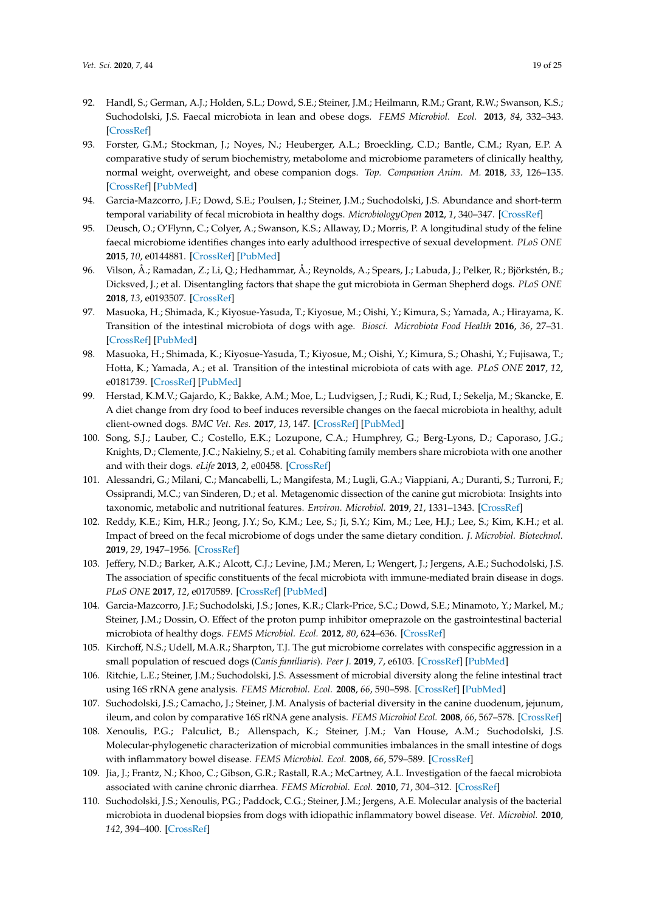- <span id="page-18-0"></span>92. Handl, S.; German, A.J.; Holden, S.L.; Dowd, S.E.; Steiner, J.M.; Heilmann, R.M.; Grant, R.W.; Swanson, K.S.; Suchodolski, J.S. Faecal microbiota in lean and obese dogs. *FEMS Microbiol. Ecol.* **2013**, *84*, 332–343. [\[CrossRef\]](http://dx.doi.org/10.1111/1574-6941.12067)
- <span id="page-18-1"></span>93. Forster, G.M.; Stockman, J.; Noyes, N.; Heuberger, A.L.; Broeckling, C.D.; Bantle, C.M.; Ryan, E.P. A comparative study of serum biochemistry, metabolome and microbiome parameters of clinically healthy, normal weight, overweight, and obese companion dogs. *Top. Companion Anim. M.* **2018**, *33*, 126–135. [\[CrossRef\]](http://dx.doi.org/10.1053/j.tcam.2018.08.003) [\[PubMed\]](http://www.ncbi.nlm.nih.gov/pubmed/30502863)
- <span id="page-18-2"></span>94. Garcia-Mazcorro, J.F.; Dowd, S.E.; Poulsen, J.; Steiner, J.M.; Suchodolski, J.S. Abundance and short-term temporal variability of fecal microbiota in healthy dogs. *MicrobiologyOpen* **2012**, *1*, 340–347. [\[CrossRef\]](http://dx.doi.org/10.1002/mbo3.36)
- <span id="page-18-16"></span>95. Deusch, O.; O'Flynn, C.; Colyer, A.; Swanson, K.S.; Allaway, D.; Morris, P. A longitudinal study of the feline faecal microbiome identifies changes into early adulthood irrespective of sexual development. *PLoS ONE* **2015**, *10*, e0144881. [\[CrossRef\]](http://dx.doi.org/10.1371/journal.pone.0144881) [\[PubMed\]](http://www.ncbi.nlm.nih.gov/pubmed/26659594)
- <span id="page-18-17"></span>96. Vilson, Å.; Ramadan, Z.; Li, Q.; Hedhammar, Å.; Reynolds, A.; Spears, J.; Labuda, J.; Pelker, R.; Björkstén, B.; Dicksved, J.; et al. Disentangling factors that shape the gut microbiota in German Shepherd dogs. *PLoS ONE* **2018**, *13*, e0193507. [\[CrossRef\]](http://dx.doi.org/10.1371/journal.pone.0193507)
- 97. Masuoka, H.; Shimada, K.; Kiyosue-Yasuda, T.; Kiyosue, M.; Oishi, Y.; Kimura, S.; Yamada, A.; Hirayama, K. Transition of the intestinal microbiota of dogs with age. *Biosci. Microbiota Food Health* **2016**, *36*, 27–31. [\[CrossRef\]](http://dx.doi.org/10.12938/bmfh.BMFH-2016-021) [\[PubMed\]](http://www.ncbi.nlm.nih.gov/pubmed/28243548)
- <span id="page-18-3"></span>98. Masuoka, H.; Shimada, K.; Kiyosue-Yasuda, T.; Kiyosue, M.; Oishi, Y.; Kimura, S.; Ohashi, Y.; Fujisawa, T.; Hotta, K.; Yamada, A.; et al. Transition of the intestinal microbiota of cats with age. *PLoS ONE* **2017**, *12*, e0181739. [\[CrossRef\]](http://dx.doi.org/10.1371/journal.pone.0181739) [\[PubMed\]](http://www.ncbi.nlm.nih.gov/pubmed/28813445)
- <span id="page-18-4"></span>99. Herstad, K.M.V.; Gajardo, K.; Bakke, A.M.; Moe, L.; Ludvigsen, J.; Rudi, K.; Rud, I.; Sekelja, M.; Skancke, E. A diet change from dry food to beef induces reversible changes on the faecal microbiota in healthy, adult client-owned dogs. *BMC Vet. Res.* **2017**, *13*, 147. [\[CrossRef\]](http://dx.doi.org/10.1186/s12917-017-1073-9) [\[PubMed\]](http://www.ncbi.nlm.nih.gov/pubmed/28558792)
- <span id="page-18-5"></span>100. Song, S.J.; Lauber, C.; Costello, E.K.; Lozupone, C.A.; Humphrey, G.; Berg-Lyons, D.; Caporaso, J.G.; Knights, D.; Clemente, J.C.; Nakielny, S.; et al. Cohabiting family members share microbiota with one another and with their dogs. *eLife* **2013**, *2*, e00458. [\[CrossRef\]](http://dx.doi.org/10.7554/eLife.00458)
- <span id="page-18-6"></span>101. Alessandri, G.; Milani, C.; Mancabelli, L.; Mangifesta, M.; Lugli, G.A.; Viappiani, A.; Duranti, S.; Turroni, F.; Ossiprandi, M.C.; van Sinderen, D.; et al. Metagenomic dissection of the canine gut microbiota: Insights into taxonomic, metabolic and nutritional features. *Environ. Microbiol.* **2019**, *21*, 1331–1343. [\[CrossRef\]](http://dx.doi.org/10.1111/1462-2920.14540)
- <span id="page-18-7"></span>102. Reddy, K.E.; Kim, H.R.; Jeong, J.Y.; So, K.M.; Lee, S.; Ji, S.Y.; Kim, M.; Lee, H.J.; Lee, S.; Kim, K.H.; et al. Impact of breed on the fecal microbiome of dogs under the same dietary condition. *J. Microbiol. Biotechnol.* **2019**, *29*, 1947–1956. [\[CrossRef\]](http://dx.doi.org/10.4014/jmb.1906.06048)
- <span id="page-18-8"></span>103. Jeffery, N.D.; Barker, A.K.; Alcott, C.J.; Levine, J.M.; Meren, I.; Wengert, J.; Jergens, A.E.; Suchodolski, J.S. The association of specific constituents of the fecal microbiota with immune-mediated brain disease in dogs. *PLoS ONE* **2017**, *12*, e0170589. [\[CrossRef\]](http://dx.doi.org/10.1371/journal.pone.0170589) [\[PubMed\]](http://www.ncbi.nlm.nih.gov/pubmed/28125651)
- <span id="page-18-9"></span>104. Garcia-Mazcorro, J.F.; Suchodolski, J.S.; Jones, K.R.; Clark-Price, S.C.; Dowd, S.E.; Minamoto, Y.; Markel, M.; Steiner, J.M.; Dossin, O. Effect of the proton pump inhibitor omeprazole on the gastrointestinal bacterial microbiota of healthy dogs. *FEMS Microbiol. Ecol.* **2012**, *80*, 624–636. [\[CrossRef\]](http://dx.doi.org/10.1111/j.1574-6941.2012.01331.x)
- <span id="page-18-10"></span>105. Kirchoff, N.S.; Udell, M.A.R.; Sharpton, T.J. The gut microbiome correlates with conspecific aggression in a small population of rescued dogs (*Canis familiaris*). *Peer J.* **2019**, *7*, e6103. [\[CrossRef\]](http://dx.doi.org/10.7717/peerj.6103) [\[PubMed\]](http://www.ncbi.nlm.nih.gov/pubmed/30643689)
- <span id="page-18-11"></span>106. Ritchie, L.E.; Steiner, J.M.; Suchodolski, J.S. Assessment of microbial diversity along the feline intestinal tract using 16S rRNA gene analysis. *FEMS Microbiol. Ecol.* **2008**, *66*, 590–598. [\[CrossRef\]](http://dx.doi.org/10.1111/j.1574-6941.2008.00609.x) [\[PubMed\]](http://www.ncbi.nlm.nih.gov/pubmed/19049654)
- <span id="page-18-12"></span>107. Suchodolski, J.S.; Camacho, J.; Steiner, J.M. Analysis of bacterial diversity in the canine duodenum, jejunum, ileum, and colon by comparative 16S rRNA gene analysis. *FEMS Microbiol Ecol.* **2008**, *66*, 567–578. [\[CrossRef\]](http://dx.doi.org/10.1111/j.1574-6941.2008.00521.x)
- <span id="page-18-13"></span>108. Xenoulis, P.G.; Palculict, B.; Allenspach, K.; Steiner, J.M.; Van House, A.M.; Suchodolski, J.S. Molecular-phylogenetic characterization of microbial communities imbalances in the small intestine of dogs with inflammatory bowel disease. *FEMS Microbiol. Ecol.* **2008**, *66*, 579–589. [\[CrossRef\]](http://dx.doi.org/10.1111/j.1574-6941.2008.00556.x)
- <span id="page-18-14"></span>109. Jia, J.; Frantz, N.; Khoo, C.; Gibson, G.R.; Rastall, R.A.; McCartney, A.L. Investigation of the faecal microbiota associated with canine chronic diarrhea. *FEMS Microbiol. Ecol.* **2010**, *71*, 304–312. [\[CrossRef\]](http://dx.doi.org/10.1111/j.1574-6941.2009.00812.x)
- <span id="page-18-15"></span>110. Suchodolski, J.S.; Xenoulis, P.G.; Paddock, C.G.; Steiner, J.M.; Jergens, A.E. Molecular analysis of the bacterial microbiota in duodenal biopsies from dogs with idiopathic inflammatory bowel disease. *Vet. Microbiol.* **2010**, *142*, 394–400. [\[CrossRef\]](http://dx.doi.org/10.1016/j.vetmic.2009.11.002)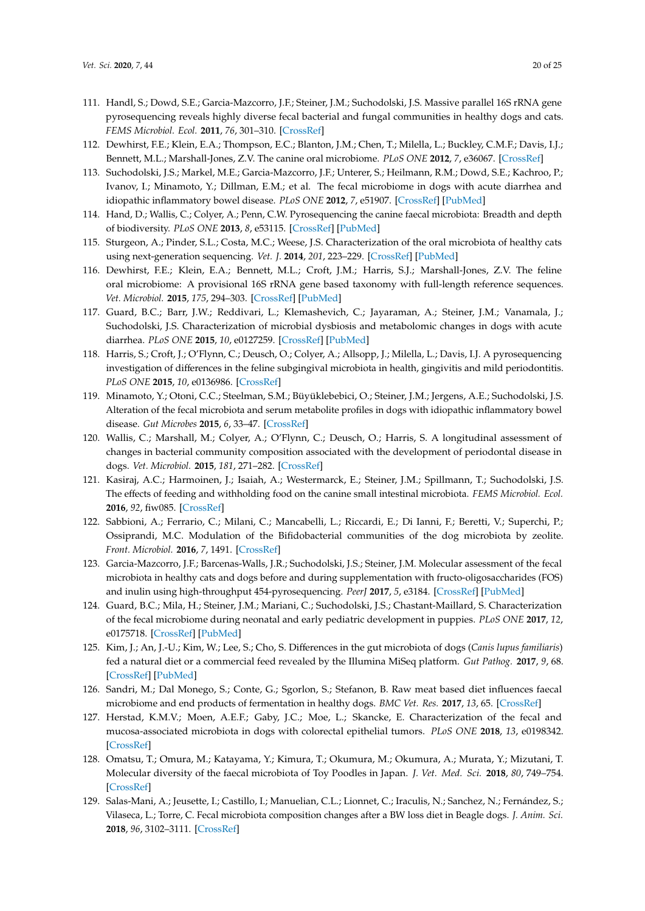- <span id="page-19-0"></span>111. Handl, S.; Dowd, S.E.; Garcia-Mazcorro, J.F.; Steiner, J.M.; Suchodolski, J.S. Massive parallel 16S rRNA gene pyrosequencing reveals highly diverse fecal bacterial and fungal communities in healthy dogs and cats. *FEMS Microbiol. Ecol.* **2011**, *76*, 301–310. [\[CrossRef\]](http://dx.doi.org/10.1111/j.1574-6941.2011.01058.x)
- <span id="page-19-1"></span>112. Dewhirst, F.E.; Klein, E.A.; Thompson, E.C.; Blanton, J.M.; Chen, T.; Milella, L.; Buckley, C.M.F.; Davis, I.J.; Bennett, M.L.; Marshall-Jones, Z.V. The canine oral microbiome. *PLoS ONE* **2012**, *7*, e36067. [\[CrossRef\]](http://dx.doi.org/10.1371/annotation/c2287fc7-c976-4d78-a28f-1d4e024d568f)
- <span id="page-19-2"></span>113. Suchodolski, J.S.; Markel, M.E.; Garcia-Mazcorro, J.F.; Unterer, S.; Heilmann, R.M.; Dowd, S.E.; Kachroo, P.; Ivanov, I.; Minamoto, Y.; Dillman, E.M.; et al. The fecal microbiome in dogs with acute diarrhea and idiopathic inflammatory bowel disease. *PLoS ONE* **2012**, *7*, e51907. [\[CrossRef\]](http://dx.doi.org/10.1371/journal.pone.0051907) [\[PubMed\]](http://www.ncbi.nlm.nih.gov/pubmed/23300577)
- <span id="page-19-3"></span>114. Hand, D.; Wallis, C.; Colyer, A.; Penn, C.W. Pyrosequencing the canine faecal microbiota: Breadth and depth of biodiversity. *PLoS ONE* **2013**, *8*, e53115. [\[CrossRef\]](http://dx.doi.org/10.1371/journal.pone.0053115) [\[PubMed\]](http://www.ncbi.nlm.nih.gov/pubmed/23382835)
- <span id="page-19-4"></span>115. Sturgeon, A.; Pinder, S.L.; Costa, M.C.; Weese, J.S. Characterization of the oral microbiota of healthy cats using next-generation sequencing. *Vet. J.* **2014**, *201*, 223–229. [\[CrossRef\]](http://dx.doi.org/10.1016/j.tvjl.2014.01.024) [\[PubMed\]](http://www.ncbi.nlm.nih.gov/pubmed/24680670)
- <span id="page-19-5"></span>116. Dewhirst, F.E.; Klein, E.A.; Bennett, M.L.; Croft, J.M.; Harris, S.J.; Marshall-Jones, Z.V. The feline oral microbiome: A provisional 16S rRNA gene based taxonomy with full-length reference sequences. *Vet. Microbiol.* **2015**, *175*, 294–303. [\[CrossRef\]](http://dx.doi.org/10.1016/j.vetmic.2014.11.019) [\[PubMed\]](http://www.ncbi.nlm.nih.gov/pubmed/25523504)
- <span id="page-19-6"></span>117. Guard, B.C.; Barr, J.W.; Reddivari, L.; Klemashevich, C.; Jayaraman, A.; Steiner, J.M.; Vanamala, J.; Suchodolski, J.S. Characterization of microbial dysbiosis and metabolomic changes in dogs with acute diarrhea. *PLoS ONE* **2015**, *10*, e0127259. [\[CrossRef\]](http://dx.doi.org/10.1371/journal.pone.0127259) [\[PubMed\]](http://www.ncbi.nlm.nih.gov/pubmed/26000959)
- <span id="page-19-7"></span>118. Harris, S.; Croft, J.; O'Flynn, C.; Deusch, O.; Colyer, A.; Allsopp, J.; Milella, L.; Davis, I.J. A pyrosequencing investigation of differences in the feline subgingival microbiota in health, gingivitis and mild periodontitis. *PLoS ONE* **2015**, *10*, e0136986. [\[CrossRef\]](http://dx.doi.org/10.1371/journal.pone.0136986)
- <span id="page-19-8"></span>119. Minamoto, Y.; Otoni, C.C.; Steelman, S.M.; Büyüklebebici, O.; Steiner, J.M.; Jergens, A.E.; Suchodolski, J.S. Alteration of the fecal microbiota and serum metabolite profiles in dogs with idiopathic inflammatory bowel disease. *Gut Microbes* **2015**, *6*, 33–47. [\[CrossRef\]](http://dx.doi.org/10.1080/19490976.2014.997612)
- <span id="page-19-9"></span>120. Wallis, C.; Marshall, M.; Colyer, A.; O'Flynn, C.; Deusch, O.; Harris, S. A longitudinal assessment of changes in bacterial community composition associated with the development of periodontal disease in dogs. *Vet. Microbiol.* **2015**, *181*, 271–282. [\[CrossRef\]](http://dx.doi.org/10.1016/j.vetmic.2015.09.003)
- <span id="page-19-10"></span>121. Kasiraj, A.C.; Harmoinen, J.; Isaiah, A.; Westermarck, E.; Steiner, J.M.; Spillmann, T.; Suchodolski, J.S. The effects of feeding and withholding food on the canine small intestinal microbiota. *FEMS Microbiol. Ecol.* **2016**, *92*, fiw085. [\[CrossRef\]](http://dx.doi.org/10.1093/femsec/fiw085)
- <span id="page-19-11"></span>122. Sabbioni, A.; Ferrario, C.; Milani, C.; Mancabelli, L.; Riccardi, E.; Di Ianni, F.; Beretti, V.; Superchi, P.; Ossiprandi, M.C. Modulation of the Bifidobacterial communities of the dog microbiota by zeolite. *Front. Microbiol.* **2016**, *7*, 1491. [\[CrossRef\]](http://dx.doi.org/10.3389/fmicb.2016.01491)
- <span id="page-19-12"></span>123. Garcia-Mazcorro, J.F.; Barcenas-Walls, J.R.; Suchodolski, J.S.; Steiner, J.M. Molecular assessment of the fecal microbiota in healthy cats and dogs before and during supplementation with fructo-oligosaccharides (FOS) and inulin using high-throughput 454-pyrosequencing. *PeerJ* **2017**, *5*, e3184. [\[CrossRef\]](http://dx.doi.org/10.7717/peerj.3184) [\[PubMed\]](http://www.ncbi.nlm.nih.gov/pubmed/28439463)
- <span id="page-19-13"></span>124. Guard, B.C.; Mila, H.; Steiner, J.M.; Mariani, C.; Suchodolski, J.S.; Chastant-Maillard, S. Characterization of the fecal microbiome during neonatal and early pediatric development in puppies. *PLoS ONE* **2017**, *12*, e0175718. [\[CrossRef\]](http://dx.doi.org/10.1371/journal.pone.0175718) [\[PubMed\]](http://www.ncbi.nlm.nih.gov/pubmed/28448583)
- <span id="page-19-14"></span>125. Kim, J.; An, J.-U.; Kim, W.; Lee, S.; Cho, S. Differences in the gut microbiota of dogs (*Canis lupus familiaris*) fed a natural diet or a commercial feed revealed by the Illumina MiSeq platform. *Gut Pathog.* **2017**, *9*, 68. [\[CrossRef\]](http://dx.doi.org/10.1186/s13099-017-0218-5) [\[PubMed\]](http://www.ncbi.nlm.nih.gov/pubmed/29201150)
- <span id="page-19-15"></span>126. Sandri, M.; Dal Monego, S.; Conte, G.; Sgorlon, S.; Stefanon, B. Raw meat based diet influences faecal microbiome and end products of fermentation in healthy dogs. *BMC Vet. Res.* **2017**, *13*, 65. [\[CrossRef\]](http://dx.doi.org/10.1186/s12917-017-0981-z)
- <span id="page-19-16"></span>127. Herstad, K.M.V.; Moen, A.E.F.; Gaby, J.C.; Moe, L.; Skancke, E. Characterization of the fecal and mucosa-associated microbiota in dogs with colorectal epithelial tumors. *PLoS ONE* **2018**, *13*, e0198342. [\[CrossRef\]](http://dx.doi.org/10.1371/journal.pone.0198342)
- <span id="page-19-17"></span>128. Omatsu, T.; Omura, M.; Katayama, Y.; Kimura, T.; Okumura, M.; Okumura, A.; Murata, Y.; Mizutani, T. Molecular diversity of the faecal microbiota of Toy Poodles in Japan. *J. Vet. Med. Sci.* **2018**, *80*, 749–754. [\[CrossRef\]](http://dx.doi.org/10.1292/jvms.17-0582)
- <span id="page-19-18"></span>129. Salas-Mani, A.; Jeusette, I.; Castillo, I.; Manuelian, C.L.; Lionnet, C.; Iraculis, N.; Sanchez, N.; Fernández, S.; Vilaseca, L.; Torre, C. Fecal microbiota composition changes after a BW loss diet in Beagle dogs. *J. Anim. Sci.* **2018**, *96*, 3102–3111. [\[CrossRef\]](http://dx.doi.org/10.1093/jas/sky193)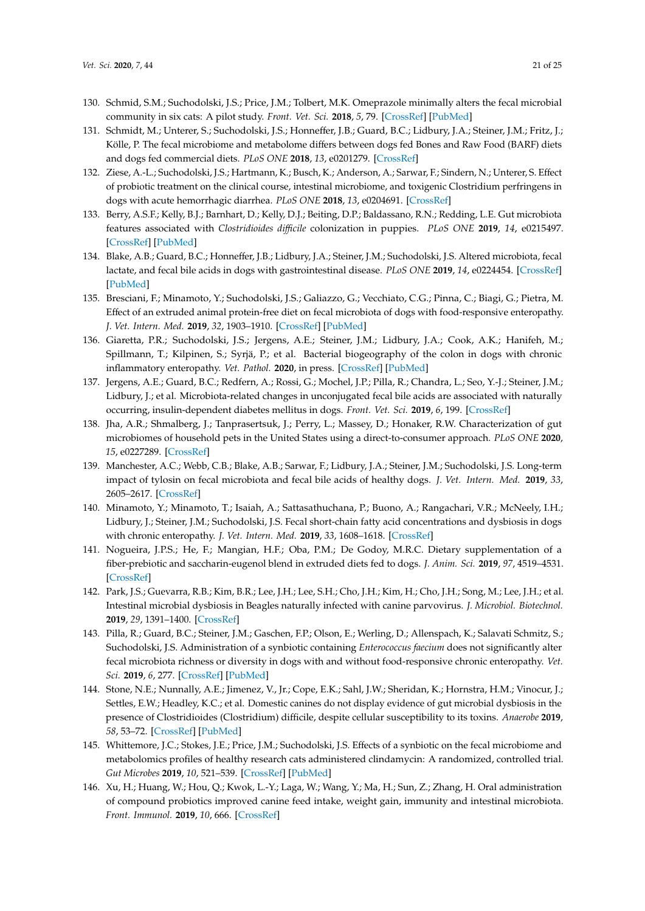- <span id="page-20-0"></span>130. Schmid, S.M.; Suchodolski, J.S.; Price, J.M.; Tolbert, M.K. Omeprazole minimally alters the fecal microbial community in six cats: A pilot study. *Front. Vet. Sci.* **2018**, *5*, 79. [\[CrossRef\]](http://dx.doi.org/10.3389/fvets.2018.00079) [\[PubMed\]](http://www.ncbi.nlm.nih.gov/pubmed/29713638)
- <span id="page-20-1"></span>131. Schmidt, M.; Unterer, S.; Suchodolski, J.S.; Honneffer, J.B.; Guard, B.C.; Lidbury, J.A.; Steiner, J.M.; Fritz, J.; Kölle, P. The fecal microbiome and metabolome differs between dogs fed Bones and Raw Food (BARF) diets and dogs fed commercial diets. *PLoS ONE* **2018**, *13*, e0201279. [\[CrossRef\]](http://dx.doi.org/10.1371/journal.pone.0201279)
- <span id="page-20-2"></span>132. Ziese, A.-L.; Suchodolski, J.S.; Hartmann, K.; Busch, K.; Anderson, A.; Sarwar, F.; Sindern, N.; Unterer, S. Effect of probiotic treatment on the clinical course, intestinal microbiome, and toxigenic Clostridium perfringens in dogs with acute hemorrhagic diarrhea. *PLoS ONE* **2018**, *13*, e0204691. [\[CrossRef\]](http://dx.doi.org/10.1371/journal.pone.0204691)
- <span id="page-20-3"></span>133. Berry, A.S.F.; Kelly, B.J.; Barnhart, D.; Kelly, D.J.; Beiting, D.P.; Baldassano, R.N.; Redding, L.E. Gut microbiota features associated with *Clostridioides di*ffi*cile* colonization in puppies. *PLoS ONE* **2019**, *14*, e0215497. [\[CrossRef\]](http://dx.doi.org/10.1371/journal.pone.0215497) [\[PubMed\]](http://www.ncbi.nlm.nih.gov/pubmed/31469837)
- <span id="page-20-4"></span>134. Blake, A.B.; Guard, B.C.; Honneffer, J.B.; Lidbury, J.A.; Steiner, J.M.; Suchodolski, J.S. Altered microbiota, fecal lactate, and fecal bile acids in dogs with gastrointestinal disease. *PLoS ONE* **2019**, *14*, e0224454. [\[CrossRef\]](http://dx.doi.org/10.1371/journal.pone.0224454) [\[PubMed\]](http://www.ncbi.nlm.nih.gov/pubmed/31671166)
- <span id="page-20-5"></span>135. Bresciani, F.; Minamoto, Y.; Suchodolski, J.S.; Galiazzo, G.; Vecchiato, C.G.; Pinna, C.; Biagi, G.; Pietra, M. Effect of an extruded animal protein-free diet on fecal microbiota of dogs with food-responsive enteropathy. *J. Vet. Intern. Med.* **2019**, *32*, 1903–1910. [\[CrossRef\]](http://dx.doi.org/10.1111/jvim.15227) [\[PubMed\]](http://www.ncbi.nlm.nih.gov/pubmed/30353569)
- <span id="page-20-6"></span>136. Giaretta, P.R.; Suchodolski, J.S.; Jergens, A.E.; Steiner, J.M.; Lidbury, J.A.; Cook, A.K.; Hanifeh, M.; Spillmann, T.; Kilpinen, S.; Syrjä, P.; et al. Bacterial biogeography of the colon in dogs with chronic inflammatory enteropathy. *Vet. Pathol.* **2020**, in press. [\[CrossRef\]](http://dx.doi.org/10.1177/0300985819891259) [\[PubMed\]](http://www.ncbi.nlm.nih.gov/pubmed/31916499)
- <span id="page-20-7"></span>137. Jergens, A.E.; Guard, B.C.; Redfern, A.; Rossi, G.; Mochel, J.P.; Pilla, R.; Chandra, L.; Seo, Y.-J.; Steiner, J.M.; Lidbury, J.; et al. Microbiota-related changes in unconjugated fecal bile acids are associated with naturally occurring, insulin-dependent diabetes mellitus in dogs. *Front. Vet. Sci.* **2019**, *6*, 199. [\[CrossRef\]](http://dx.doi.org/10.3389/fvets.2019.00199)
- <span id="page-20-8"></span>138. Jha, A.R.; Shmalberg, J.; Tanprasertsuk, J.; Perry, L.; Massey, D.; Honaker, R.W. Characterization of gut microbiomes of household pets in the United States using a direct-to-consumer approach. *PLoS ONE* **2020**, *15*, e0227289. [\[CrossRef\]](http://dx.doi.org/10.1371/journal.pone.0227289)
- <span id="page-20-9"></span>139. Manchester, A.C.; Webb, C.B.; Blake, A.B.; Sarwar, F.; Lidbury, J.A.; Steiner, J.M.; Suchodolski, J.S. Long-term impact of tylosin on fecal microbiota and fecal bile acids of healthy dogs. *J. Vet. Intern. Med.* **2019**, *33*, 2605–2617. [\[CrossRef\]](http://dx.doi.org/10.1111/jvim.15635)
- <span id="page-20-10"></span>140. Minamoto, Y.; Minamoto, T.; Isaiah, A.; Sattasathuchana, P.; Buono, A.; Rangachari, V.R.; McNeely, I.H.; Lidbury, J.; Steiner, J.M.; Suchodolski, J.S. Fecal short-chain fatty acid concentrations and dysbiosis in dogs with chronic enteropathy. *J. Vet. Intern. Med.* **2019**, *33*, 1608–1618. [\[CrossRef\]](http://dx.doi.org/10.1111/jvim.15520)
- <span id="page-20-11"></span>141. Nogueira, J.P.S.; He, F.; Mangian, H.F.; Oba, P.M.; De Godoy, M.R.C. Dietary supplementation of a fiber-prebiotic and saccharin-eugenol blend in extruded diets fed to dogs. *J. Anim. Sci.* **2019**, *97*, 4519–4531. [\[CrossRef\]](http://dx.doi.org/10.1093/jas/skz293)
- <span id="page-20-12"></span>142. Park, J.S.; Guevarra, R.B.; Kim, B.R.; Lee, J.H.; Lee, S.H.; Cho, J.H.; Kim, H.; Cho, J.H.; Song, M.; Lee, J.H.; et al. Intestinal microbial dysbiosis in Beagles naturally infected with canine parvovirus. *J. Microbiol. Biotechnol.* **2019**, *29*, 1391–1400. [\[CrossRef\]](http://dx.doi.org/10.4014/jmb.1901.01047)
- <span id="page-20-13"></span>143. Pilla, R.; Guard, B.C.; Steiner, J.M.; Gaschen, F.P.; Olson, E.; Werling, D.; Allenspach, K.; Salavati Schmitz, S.; Suchodolski, J.S. Administration of a synbiotic containing *Enterococcus faecium* does not significantly alter fecal microbiota richness or diversity in dogs with and without food-responsive chronic enteropathy. *Vet. Sci.* **2019**, *6*, 277. [\[CrossRef\]](http://dx.doi.org/10.3389/fvets.2019.00277) [\[PubMed\]](http://www.ncbi.nlm.nih.gov/pubmed/31552278)
- <span id="page-20-14"></span>144. Stone, N.E.; Nunnally, A.E.; Jimenez, V., Jr.; Cope, E.K.; Sahl, J.W.; Sheridan, K.; Hornstra, H.M.; Vinocur, J.; Settles, E.W.; Headley, K.C.; et al. Domestic canines do not display evidence of gut microbial dysbiosis in the presence of Clostridioides (Clostridium) difficile, despite cellular susceptibility to its toxins. *Anaerobe* **2019**, *58*, 53–72. [\[CrossRef\]](http://dx.doi.org/10.1016/j.anaerobe.2019.03.017) [\[PubMed\]](http://www.ncbi.nlm.nih.gov/pubmed/30946985)
- <span id="page-20-15"></span>145. Whittemore, J.C.; Stokes, J.E.; Price, J.M.; Suchodolski, J.S. Effects of a synbiotic on the fecal microbiome and metabolomics profiles of healthy research cats administered clindamycin: A randomized, controlled trial. *Gut Microbes* **2019**, *10*, 521–539. [\[CrossRef\]](http://dx.doi.org/10.1080/19490976.2018.1560754) [\[PubMed\]](http://www.ncbi.nlm.nih.gov/pubmed/30709324)
- <span id="page-20-16"></span>146. Xu, H.; Huang, W.; Hou, Q.; Kwok, L.-Y.; Laga, W.; Wang, Y.; Ma, H.; Sun, Z.; Zhang, H. Oral administration of compound probiotics improved canine feed intake, weight gain, immunity and intestinal microbiota. *Front. Immunol.* **2019**, *10*, 666. [\[CrossRef\]](http://dx.doi.org/10.3389/fimmu.2019.00666)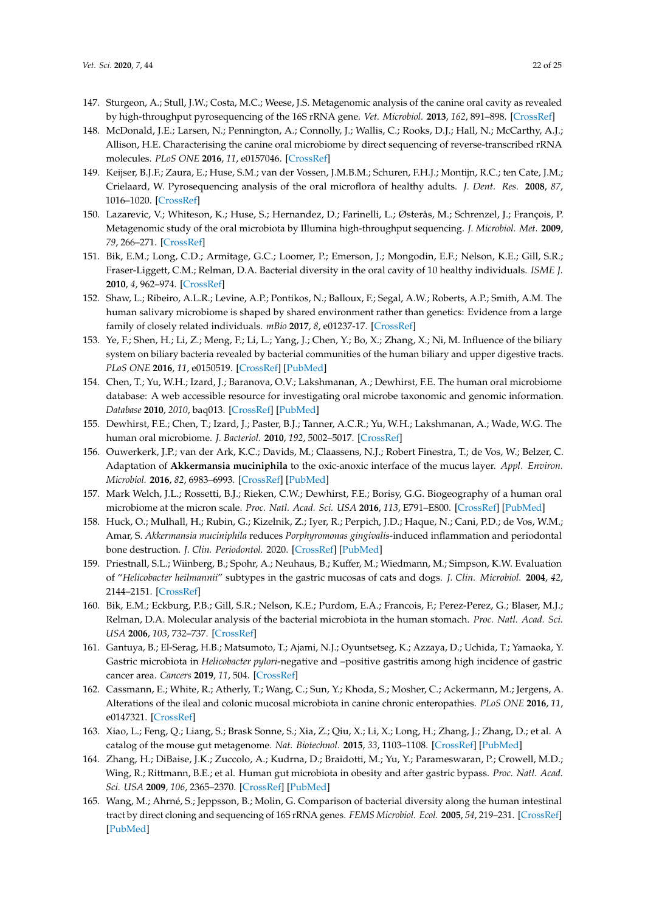- <span id="page-21-0"></span>147. Sturgeon, A.; Stull, J.W.; Costa, M.C.; Weese, J.S. Metagenomic analysis of the canine oral cavity as revealed by high-throughput pyrosequencing of the 16S rRNA gene. *Vet. Microbiol.* **2013**, *162*, 891–898. [\[CrossRef\]](http://dx.doi.org/10.1016/j.vetmic.2012.11.018)
- <span id="page-21-1"></span>148. McDonald, J.E.; Larsen, N.; Pennington, A.; Connolly, J.; Wallis, C.; Rooks, D.J.; Hall, N.; McCarthy, A.J.; Allison, H.E. Characterising the canine oral microbiome by direct sequencing of reverse-transcribed rRNA molecules. *PLoS ONE* **2016**, *11*, e0157046. [\[CrossRef\]](http://dx.doi.org/10.1371/journal.pone.0157046)
- <span id="page-21-2"></span>149. Keijser, B.J.F.; Zaura, E.; Huse, S.M.; van der Vossen, J.M.B.M.; Schuren, F.H.J.; Montijn, R.C.; ten Cate, J.M.; Crielaard, W. Pyrosequencing analysis of the oral microflora of healthy adults. *J. Dent. Res.* **2008**, *87*, 1016–1020. [\[CrossRef\]](http://dx.doi.org/10.1177/154405910808701104)
- 150. Lazarevic, V.; Whiteson, K.; Huse, S.; Hernandez, D.; Farinelli, L.; Østerås, M.; Schrenzel, J.; François, P. Metagenomic study of the oral microbiota by Illumina high-throughput sequencing. *J. Microbiol. Met.* **2009**, *79*, 266–271. [\[CrossRef\]](http://dx.doi.org/10.1016/j.mimet.2009.09.012)
- 151. Bik, E.M.; Long, C.D.; Armitage, G.C.; Loomer, P.; Emerson, J.; Mongodin, E.F.; Nelson, K.E.; Gill, S.R.; Fraser-Liggett, C.M.; Relman, D.A. Bacterial diversity in the oral cavity of 10 healthy individuals. *ISME J.* **2010**, *4*, 962–974. [\[CrossRef\]](http://dx.doi.org/10.1038/ismej.2010.30)
- <span id="page-21-3"></span>152. Shaw, L.; Ribeiro, A.L.R.; Levine, A.P.; Pontikos, N.; Balloux, F.; Segal, A.W.; Roberts, A.P.; Smith, A.M. The human salivary microbiome is shaped by shared environment rather than genetics: Evidence from a large family of closely related individuals. *mBio* **2017**, *8*, e01237-17. [\[CrossRef\]](http://dx.doi.org/10.1128/mBio.01237-17)
- <span id="page-21-4"></span>153. Ye, F.; Shen, H.; Li, Z.; Meng, F.; Li, L.; Yang, J.; Chen, Y.; Bo, X.; Zhang, X.; Ni, M. Influence of the biliary system on biliary bacteria revealed by bacterial communities of the human biliary and upper digestive tracts. *PLoS ONE* **2016**, *11*, e0150519. [\[CrossRef\]](http://dx.doi.org/10.1371/journal.pone.0150519) [\[PubMed\]](http://www.ncbi.nlm.nih.gov/pubmed/26930491)
- <span id="page-21-5"></span>154. Chen, T.; Yu, W.H.; Izard, J.; Baranova, O.V.; Lakshmanan, A.; Dewhirst, F.E. The human oral microbiome database: A web accessible resource for investigating oral microbe taxonomic and genomic information. *Database* **2010**, *2010*, baq013. [\[CrossRef\]](http://dx.doi.org/10.1093/database/baq013) [\[PubMed\]](http://www.ncbi.nlm.nih.gov/pubmed/20624719)
- <span id="page-21-6"></span>155. Dewhirst, F.E.; Chen, T.; Izard, J.; Paster, B.J.; Tanner, A.C.R.; Yu, W.H.; Lakshmanan, A.; Wade, W.G. The human oral microbiome. *J. Bacteriol.* **2010**, *192*, 5002–5017. [\[CrossRef\]](http://dx.doi.org/10.1128/JB.00542-10)
- <span id="page-21-7"></span>156. Ouwerkerk, J.P.; van der Ark, K.C.; Davids, M.; Claassens, N.J.; Robert Finestra, T.; de Vos, W.; Belzer, C. Adaptation of **Akkermansia muciniphila** to the oxic-anoxic interface of the mucus layer. *Appl. Environ. Microbiol.* **2016**, *82*, 6983–6993. [\[CrossRef\]](http://dx.doi.org/10.1128/AEM.01641-16) [\[PubMed\]](http://www.ncbi.nlm.nih.gov/pubmed/27663027)
- <span id="page-21-8"></span>157. Mark Welch, J.L.; Rossetti, B.J.; Rieken, C.W.; Dewhirst, F.E.; Borisy, G.G. Biogeography of a human oral microbiome at the micron scale. *Proc. Natl. Acad. Sci. USA* **2016**, *113*, E791–E800. [\[CrossRef\]](http://dx.doi.org/10.1073/pnas.1522149113) [\[PubMed\]](http://www.ncbi.nlm.nih.gov/pubmed/26811460)
- <span id="page-21-9"></span>158. Huck, O.; Mulhall, H.; Rubin, G.; Kizelnik, Z.; Iyer, R.; Perpich, J.D.; Haque, N.; Cani, P.D.; de Vos, W.M.; Amar, S. *Akkermansia muciniphila* reduces *Porphyromonas gingivalis*-induced inflammation and periodontal bone destruction. *J. Clin. Periodontol.* 2020. [\[CrossRef\]](http://dx.doi.org/10.1111/jcpe.13214) [\[PubMed\]](http://www.ncbi.nlm.nih.gov/pubmed/31674689)
- <span id="page-21-10"></span>159. Priestnall, S.L.; Wiinberg, B.; Spohr, A.; Neuhaus, B.; Kuffer, M.; Wiedmann, M.; Simpson, K.W. Evaluation of "*Helicobacter heilmannii*" subtypes in the gastric mucosas of cats and dogs. *J. Clin. Microbiol.* **2004**, *42*, 2144–2151. [\[CrossRef\]](http://dx.doi.org/10.1128/JCM.42.5.2144-2151.2004)
- <span id="page-21-11"></span>160. Bik, E.M.; Eckburg, P.B.; Gill, S.R.; Nelson, K.E.; Purdom, E.A.; Francois, F.; Perez-Perez, G.; Blaser, M.J.; Relman, D.A. Molecular analysis of the bacterial microbiota in the human stomach. *Proc. Natl. Acad. Sci. USA* **2006**, *103*, 732–737. [\[CrossRef\]](http://dx.doi.org/10.1073/pnas.0506655103)
- <span id="page-21-12"></span>161. Gantuya, B.; El-Serag, H.B.; Matsumoto, T.; Ajami, N.J.; Oyuntsetseg, K.; Azzaya, D.; Uchida, T.; Yamaoka, Y. Gastric microbiota in *Helicobacter pylori*-negative and –positive gastritis among high incidence of gastric cancer area. *Cancers* **2019**, *11*, 504. [\[CrossRef\]](http://dx.doi.org/10.3390/cancers11040504)
- <span id="page-21-13"></span>162. Cassmann, E.; White, R.; Atherly, T.; Wang, C.; Sun, Y.; Khoda, S.; Mosher, C.; Ackermann, M.; Jergens, A. Alterations of the ileal and colonic mucosal microbiota in canine chronic enteropathies. *PLoS ONE* **2016**, *11*, e0147321. [\[CrossRef\]](http://dx.doi.org/10.1371/journal.pone.0147321)
- <span id="page-21-14"></span>163. Xiao, L.; Feng, Q.; Liang, S.; Brask Sonne, S.; Xia, Z.; Qiu, X.; Li, X.; Long, H.; Zhang, J.; Zhang, D.; et al. A catalog of the mouse gut metagenome. *Nat. Biotechnol.* **2015**, *33*, 1103–1108. [\[CrossRef\]](http://dx.doi.org/10.1038/nbt.3353) [\[PubMed\]](http://www.ncbi.nlm.nih.gov/pubmed/26414350)
- <span id="page-21-15"></span>164. Zhang, H.; DiBaise, J.K.; Zuccolo, A.; Kudrna, D.; Braidotti, M.; Yu, Y.; Parameswaran, P.; Crowell, M.D.; Wing, R.; Rittmann, B.E.; et al. Human gut microbiota in obesity and after gastric bypass. *Proc. Natl. Acad. Sci. USA* **2009**, *106*, 2365–2370. [\[CrossRef\]](http://dx.doi.org/10.1073/pnas.0812600106) [\[PubMed\]](http://www.ncbi.nlm.nih.gov/pubmed/19164560)
- <span id="page-21-16"></span>165. Wang, M.; Ahrné, S.; Jeppsson, B.; Molin, G. Comparison of bacterial diversity along the human intestinal tract by direct cloning and sequencing of 16S rRNA genes. *FEMS Microbiol. Ecol.* **2005**, *54*, 219–231. [\[CrossRef\]](http://dx.doi.org/10.1016/j.femsec.2005.03.012) [\[PubMed\]](http://www.ncbi.nlm.nih.gov/pubmed/16332321)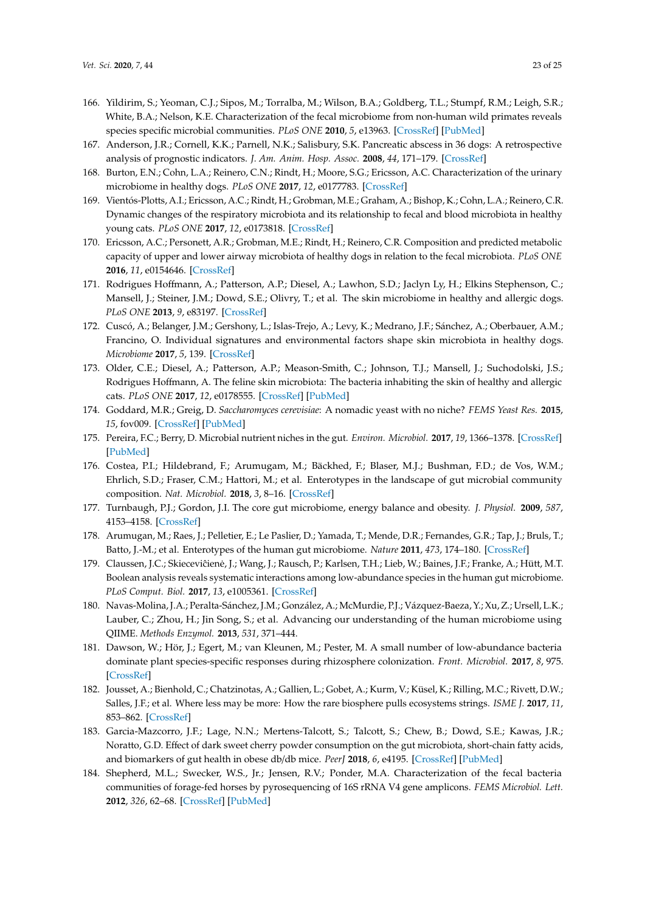- <span id="page-22-0"></span>166. Yildirim, S.; Yeoman, C.J.; Sipos, M.; Torralba, M.; Wilson, B.A.; Goldberg, T.L.; Stumpf, R.M.; Leigh, S.R.; White, B.A.; Nelson, K.E. Characterization of the fecal microbiome from non-human wild primates reveals species specific microbial communities. *PLoS ONE* **2010**, *5*, e13963. [\[CrossRef\]](http://dx.doi.org/10.1371/journal.pone.0013963) [\[PubMed\]](http://www.ncbi.nlm.nih.gov/pubmed/21103066)
- <span id="page-22-1"></span>167. Anderson, J.R.; Cornell, K.K.; Parnell, N.K.; Salisbury, S.K. Pancreatic abscess in 36 dogs: A retrospective analysis of prognostic indicators. *J. Am. Anim. Hosp. Assoc.* **2008**, *44*, 171–179. [\[CrossRef\]](http://dx.doi.org/10.5326/0440171)
- <span id="page-22-2"></span>168. Burton, E.N.; Cohn, L.A.; Reinero, C.N.; Rindt, H.; Moore, S.G.; Ericsson, A.C. Characterization of the urinary microbiome in healthy dogs. *PLoS ONE* **2017**, *12*, e0177783. [\[CrossRef\]](http://dx.doi.org/10.1371/journal.pone.0177783)
- <span id="page-22-3"></span>169. Vientós-Plotts, A.I.; Ericsson, A.C.; Rindt, H.; Grobman, M.E.; Graham, A.; Bishop, K.; Cohn, L.A.; Reinero, C.R. Dynamic changes of the respiratory microbiota and its relationship to fecal and blood microbiota in healthy young cats. *PLoS ONE* **2017**, *12*, e0173818. [\[CrossRef\]](http://dx.doi.org/10.1371/journal.pone.0173818)
- <span id="page-22-4"></span>170. Ericsson, A.C.; Personett, A.R.; Grobman, M.E.; Rindt, H.; Reinero, C.R. Composition and predicted metabolic capacity of upper and lower airway microbiota of healthy dogs in relation to the fecal microbiota. *PLoS ONE* **2016**, *11*, e0154646. [\[CrossRef\]](http://dx.doi.org/10.1371/journal.pone.0154646)
- <span id="page-22-5"></span>171. Rodrigues Hoffmann, A.; Patterson, A.P.; Diesel, A.; Lawhon, S.D.; Jaclyn Ly, H.; Elkins Stephenson, C.; Mansell, J.; Steiner, J.M.; Dowd, S.E.; Olivry, T.; et al. The skin microbiome in healthy and allergic dogs. *PLoS ONE* **2013**, *9*, e83197. [\[CrossRef\]](http://dx.doi.org/10.1371/journal.pone.0083197)
- 172. Cuscó, A.; Belanger, J.M.; Gershony, L.; Islas-Trejo, A.; Levy, K.; Medrano, J.F.; Sánchez, A.; Oberbauer, A.M.; Francino, O. Individual signatures and environmental factors shape skin microbiota in healthy dogs. *Microbiome* **2017**, *5*, 139. [\[CrossRef\]](http://dx.doi.org/10.1186/s40168-017-0355-6)
- <span id="page-22-6"></span>173. Older, C.E.; Diesel, A.; Patterson, A.P.; Meason-Smith, C.; Johnson, T.J.; Mansell, J.; Suchodolski, J.S.; Rodrigues Hoffmann, A. The feline skin microbiota: The bacteria inhabiting the skin of healthy and allergic cats. *PLoS ONE* **2017**, *12*, e0178555. [\[CrossRef\]](http://dx.doi.org/10.1371/journal.pone.0178555) [\[PubMed\]](http://www.ncbi.nlm.nih.gov/pubmed/28575016)
- <span id="page-22-7"></span>174. Goddard, M.R.; Greig, D. *Saccharomyces cerevisiae*: A nomadic yeast with no niche? *FEMS Yeast Res.* **2015**, *15*, fov009. [\[CrossRef\]](http://dx.doi.org/10.1093/femsyr/fov009) [\[PubMed\]](http://www.ncbi.nlm.nih.gov/pubmed/25725024)
- <span id="page-22-8"></span>175. Pereira, F.C.; Berry, D. Microbial nutrient niches in the gut. *Environ. Microbiol.* **2017**, *19*, 1366–1378. [\[CrossRef\]](http://dx.doi.org/10.1111/1462-2920.13659) [\[PubMed\]](http://www.ncbi.nlm.nih.gov/pubmed/28035742)
- <span id="page-22-9"></span>176. Costea, P.I.; Hildebrand, F.; Arumugam, M.; Bäckhed, F.; Blaser, M.J.; Bushman, F.D.; de Vos, W.M.; Ehrlich, S.D.; Fraser, C.M.; Hattori, M.; et al. Enterotypes in the landscape of gut microbial community composition. *Nat. Microbiol.* **2018**, *3*, 8–16. [\[CrossRef\]](http://dx.doi.org/10.1038/s41564-017-0072-8)
- <span id="page-22-10"></span>177. Turnbaugh, P.J.; Gordon, J.I. The core gut microbiome, energy balance and obesity. *J. Physiol.* **2009**, *587*, 4153–4158. [\[CrossRef\]](http://dx.doi.org/10.1113/jphysiol.2009.174136)
- <span id="page-22-11"></span>178. Arumugan, M.; Raes, J.; Pelletier, E.; Le Paslier, D.; Yamada, T.; Mende, D.R.; Fernandes, G.R.; Tap, J.; Bruls, T.; Batto, J.-M.; et al. Enterotypes of the human gut microbiome. *Nature* **2011**, *473*, 174–180. [\[CrossRef\]](http://dx.doi.org/10.1038/nature09944)
- <span id="page-22-12"></span>179. Claussen, J.C.; Skieceviĉienė, J.; Wang, J.; Rausch, P.; Karlsen, T.H.; Lieb, W.; Baines, J.F.; Franke, A.; Hütt, M.T. Boolean analysis reveals systematic interactions among low-abundance species in the human gut microbiome. *PLoS Comput. Biol.* **2017**, *13*, e1005361. [\[CrossRef\]](http://dx.doi.org/10.1371/journal.pcbi.1005361)
- <span id="page-22-13"></span>180. Navas-Molina, J.A.; Peralta-Sánchez, J.M.; González, A.; McMurdie, P.J.; Vázquez-Baeza, Y.; Xu, Z.; Ursell, L.K.; Lauber, C.; Zhou, H.; Jin Song, S.; et al. Advancing our understanding of the human microbiome using QIIME. *Methods Enzymol.* **2013**, *531*, 371–444.
- <span id="page-22-14"></span>181. Dawson, W.; Hör, J.; Egert, M.; van Kleunen, M.; Pester, M. A small number of low-abundance bacteria dominate plant species-specific responses during rhizosphere colonization. *Front. Microbiol.* **2017**, *8*, 975. [\[CrossRef\]](http://dx.doi.org/10.3389/fmicb.2017.00975)
- <span id="page-22-15"></span>182. Jousset, A.; Bienhold, C.; Chatzinotas, A.; Gallien, L.; Gobet, A.; Kurm, V.; Küsel, K.; Rilling, M.C.; Rivett, D.W.; Salles, J.F.; et al. Where less may be more: How the rare biosphere pulls ecosystems strings. *ISME J.* **2017**, *11*, 853–862. [\[CrossRef\]](http://dx.doi.org/10.1038/ismej.2016.174)
- <span id="page-22-16"></span>183. Garcia-Mazcorro, J.F.; Lage, N.N.; Mertens-Talcott, S.; Talcott, S.; Chew, B.; Dowd, S.E.; Kawas, J.R.; Noratto, G.D. Effect of dark sweet cherry powder consumption on the gut microbiota, short-chain fatty acids, and biomarkers of gut health in obese db/db mice. *PeerJ* **2018**, *6*, e4195. [\[CrossRef\]](http://dx.doi.org/10.7717/peerj.4195) [\[PubMed\]](http://www.ncbi.nlm.nih.gov/pubmed/29312822)
- <span id="page-22-17"></span>184. Shepherd, M.L.; Swecker, W.S., Jr.; Jensen, R.V.; Ponder, M.A. Characterization of the fecal bacteria communities of forage-fed horses by pyrosequencing of 16S rRNA V4 gene amplicons. *FEMS Microbiol. Lett.* **2012**, *326*, 62–68. [\[CrossRef\]](http://dx.doi.org/10.1111/j.1574-6968.2011.02434.x) [\[PubMed\]](http://www.ncbi.nlm.nih.gov/pubmed/22092776)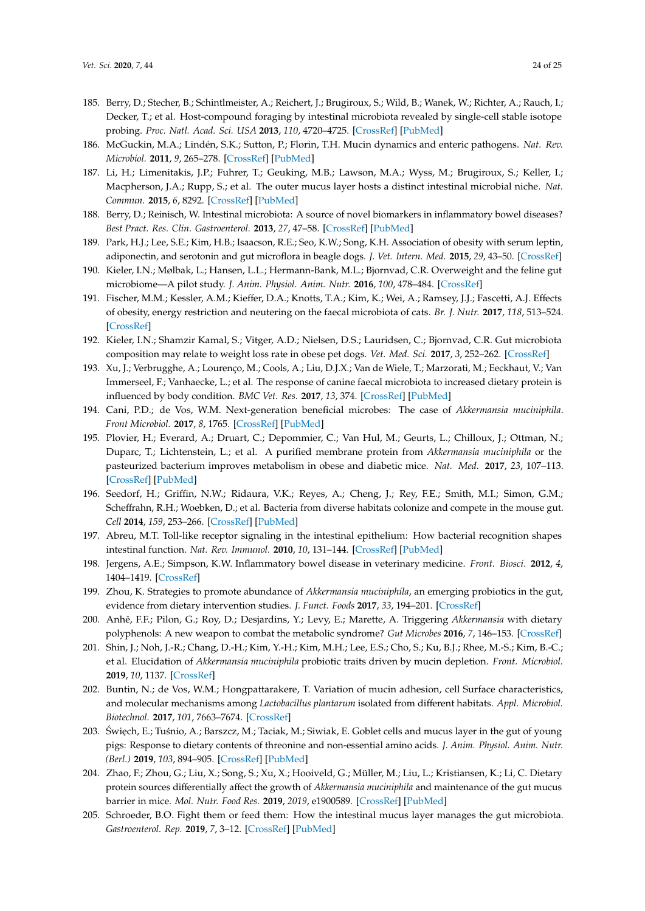- <span id="page-23-0"></span>185. Berry, D.; Stecher, B.; Schintlmeister, A.; Reichert, J.; Brugiroux, S.; Wild, B.; Wanek, W.; Richter, A.; Rauch, I.; Decker, T.; et al. Host-compound foraging by intestinal microbiota revealed by single-cell stable isotope probing. *Proc. Natl. Acad. Sci. USA* **2013**, *110*, 4720–4725. [\[CrossRef\]](http://dx.doi.org/10.1073/pnas.1219247110) [\[PubMed\]](http://www.ncbi.nlm.nih.gov/pubmed/23487774)
- <span id="page-23-1"></span>186. McGuckin, M.A.; Lindén, S.K.; Sutton, P.; Florin, T.H. Mucin dynamics and enteric pathogens. *Nat. Rev. Microbiol.* **2011**, *9*, 265–278. [\[CrossRef\]](http://dx.doi.org/10.1038/nrmicro2538) [\[PubMed\]](http://www.ncbi.nlm.nih.gov/pubmed/21407243)
- <span id="page-23-2"></span>187. Li, H.; Limenitakis, J.P.; Fuhrer, T.; Geuking, M.B.; Lawson, M.A.; Wyss, M.; Brugiroux, S.; Keller, I.; Macpherson, J.A.; Rupp, S.; et al. The outer mucus layer hosts a distinct intestinal microbial niche. *Nat. Commun.* **2015**, *6*, 8292. [\[CrossRef\]](http://dx.doi.org/10.1038/ncomms9292) [\[PubMed\]](http://www.ncbi.nlm.nih.gov/pubmed/26392213)
- <span id="page-23-3"></span>188. Berry, D.; Reinisch, W. Intestinal microbiota: A source of novel biomarkers in inflammatory bowel diseases? *Best Pract. Res. Clin. Gastroenterol.* **2013**, *27*, 47–58. [\[CrossRef\]](http://dx.doi.org/10.1016/j.bpg.2013.03.005) [\[PubMed\]](http://www.ncbi.nlm.nih.gov/pubmed/23768552)
- <span id="page-23-4"></span>189. Park, H.J.; Lee, S.E.; Kim, H.B.; Isaacson, R.E.; Seo, K.W.; Song, K.H. Association of obesity with serum leptin, adiponectin, and serotonin and gut microflora in beagle dogs. *J. Vet. Intern. Med.* **2015**, *29*, 43–50. [\[CrossRef\]](http://dx.doi.org/10.1111/jvim.12455)
- 190. Kieler, I.N.; Mølbak, L.; Hansen, L.L.; Hermann-Bank, M.L.; Bjornvad, C.R. Overweight and the feline gut microbiome—A pilot study. *J. Anim. Physiol. Anim. Nutr.* **2016**, *100*, 478–484. [\[CrossRef\]](http://dx.doi.org/10.1111/jpn.12409)
- 191. Fischer, M.M.; Kessler, A.M.; Kieffer, D.A.; Knotts, T.A.; Kim, K.; Wei, A.; Ramsey, J.J.; Fascetti, A.J. Effects of obesity, energy restriction and neutering on the faecal microbiota of cats. *Br. J. Nutr.* **2017**, *118*, 513–524. [\[CrossRef\]](http://dx.doi.org/10.1017/S0007114517002379)
- 192. Kieler, I.N.; Shamzir Kamal, S.; Vitger, A.D.; Nielsen, D.S.; Lauridsen, C.; Bjornvad, C.R. Gut microbiota composition may relate to weight loss rate in obese pet dogs. *Vet. Med. Sci.* **2017**, *3*, 252–262. [\[CrossRef\]](http://dx.doi.org/10.1002/vms3.80)
- <span id="page-23-5"></span>193. Xu, J.; Verbrugghe, A.; Lourenço, M.; Cools, A.; Liu, D.J.X.; Van de Wiele, T.; Marzorati, M.; Eeckhaut, V.; Van Immerseel, F.; Vanhaecke, L.; et al. The response of canine faecal microbiota to increased dietary protein is influenced by body condition. *BMC Vet. Res.* **2017**, *13*, 374. [\[CrossRef\]](http://dx.doi.org/10.1186/s12917-017-1276-0) [\[PubMed\]](http://www.ncbi.nlm.nih.gov/pubmed/29202841)
- <span id="page-23-6"></span>194. Cani, P.D.; de Vos, W.M. Next-generation beneficial microbes: The case of *Akkermansia muciniphila*. *Front Microbiol.* **2017**, *8*, 1765. [\[CrossRef\]](http://dx.doi.org/10.3389/fmicb.2017.01765) [\[PubMed\]](http://www.ncbi.nlm.nih.gov/pubmed/29018410)
- <span id="page-23-7"></span>195. Plovier, H.; Everard, A.; Druart, C.; Depommier, C.; Van Hul, M.; Geurts, L.; Chilloux, J.; Ottman, N.; Duparc, T.; Lichtenstein, L.; et al. A purified membrane protein from *Akkermansia muciniphila* or the pasteurized bacterium improves metabolism in obese and diabetic mice. *Nat. Med.* **2017**, *23*, 107–113. [\[CrossRef\]](http://dx.doi.org/10.1038/nm.4236) [\[PubMed\]](http://www.ncbi.nlm.nih.gov/pubmed/27892954)
- <span id="page-23-8"></span>196. Seedorf, H.; Griffin, N.W.; Ridaura, V.K.; Reyes, A.; Cheng, J.; Rey, F.E.; Smith, M.I.; Simon, G.M.; Scheffrahn, R.H.; Woebken, D.; et al. Bacteria from diverse habitats colonize and compete in the mouse gut. *Cell* **2014**, *159*, 253–266. [\[CrossRef\]](http://dx.doi.org/10.1016/j.cell.2014.09.008) [\[PubMed\]](http://www.ncbi.nlm.nih.gov/pubmed/25284151)
- <span id="page-23-9"></span>197. Abreu, M.T. Toll-like receptor signaling in the intestinal epithelium: How bacterial recognition shapes intestinal function. *Nat. Rev. Immunol.* **2010**, *10*, 131–144. [\[CrossRef\]](http://dx.doi.org/10.1038/nri2707) [\[PubMed\]](http://www.ncbi.nlm.nih.gov/pubmed/20098461)
- <span id="page-23-10"></span>198. Jergens, A.E.; Simpson, K.W. Inflammatory bowel disease in veterinary medicine. *Front. Biosci.* **2012**, *4*, 1404–1419. [\[CrossRef\]](http://dx.doi.org/10.2741/e470)
- <span id="page-23-11"></span>199. Zhou, K. Strategies to promote abundance of *Akkermansia muciniphila*, an emerging probiotics in the gut, evidence from dietary intervention studies. *J. Funct. Foods* **2017**, *33*, 194–201. [\[CrossRef\]](http://dx.doi.org/10.1016/j.jff.2017.03.045)
- <span id="page-23-12"></span>200. Anhê, F.F.; Pilon, G.; Roy, D.; Desjardins, Y.; Levy, E.; Marette, A. Triggering *Akkermansia* with dietary polyphenols: A new weapon to combat the metabolic syndrome? *Gut Microbes* **2016**, *7*, 146–153. [\[CrossRef\]](http://dx.doi.org/10.1080/19490976.2016.1142036)
- <span id="page-23-13"></span>201. Shin, J.; Noh, J.-R.; Chang, D.-H.; Kim, Y.-H.; Kim, M.H.; Lee, E.S.; Cho, S.; Ku, B.J.; Rhee, M.-S.; Kim, B.-C.; et al. Elucidation of *Akkermansia muciniphila* probiotic traits driven by mucin depletion. *Front. Microbiol.* **2019**, *10*, 1137. [\[CrossRef\]](http://dx.doi.org/10.3389/fmicb.2019.01137)
- <span id="page-23-14"></span>202. Buntin, N.; de Vos, W.M.; Hongpattarakere, T. Variation of mucin adhesion, cell Surface characteristics, and molecular mechanisms among *Lactobacillus plantarum* isolated from different habitats. *Appl. Microbiol. Biotechnol.* **2017**, *101*, 7663–7674. [\[CrossRef\]](http://dx.doi.org/10.1007/s00253-017-8482-3)
- <span id="page-23-15"></span>203. Święch, E.; Tuśnio, A.; Barszcz, M.; Taciak, M.; Siwiak, E. Goblet cells and mucus layer in the gut of young pigs: Response to dietary contents of threonine and non-essential amino acids. *J. Anim. Physiol. Anim. Nutr. (Berl.)* **2019**, *103*, 894–905. [\[CrossRef\]](http://dx.doi.org/10.1111/jpn.13086) [\[PubMed\]](http://www.ncbi.nlm.nih.gov/pubmed/30941782)
- <span id="page-23-16"></span>204. Zhao, F.; Zhou, G.; Liu, X.; Song, S.; Xu, X.; Hooiveld, G.; Müller, M.; Liu, L.; Kristiansen, K.; Li, C. Dietary protein sources differentially affect the growth of *Akkermansia muciniphila* and maintenance of the gut mucus barrier in mice. *Mol. Nutr. Food Res.* **2019**, *2019*, e1900589. [\[CrossRef\]](http://dx.doi.org/10.1002/mnfr.201900589) [\[PubMed\]](http://www.ncbi.nlm.nih.gov/pubmed/31588624)
- <span id="page-23-17"></span>205. Schroeder, B.O. Fight them or feed them: How the intestinal mucus layer manages the gut microbiota. *Gastroenterol. Rep.* **2019**, *7*, 3–12. [\[CrossRef\]](http://dx.doi.org/10.1093/gastro/goy052) [\[PubMed\]](http://www.ncbi.nlm.nih.gov/pubmed/30792861)